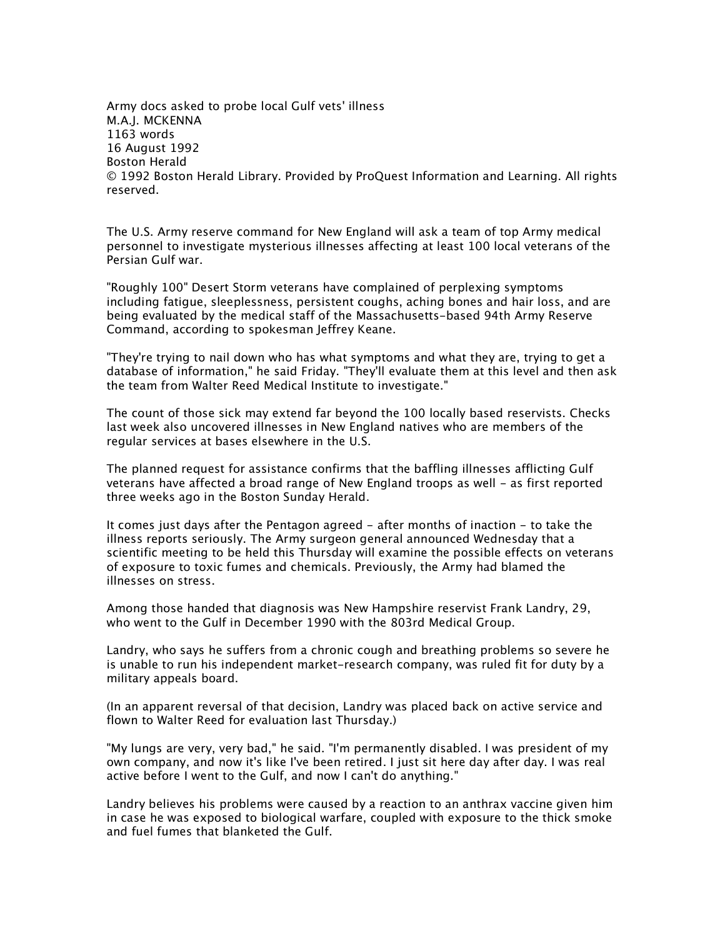Army docs asked to probe local Gulf vets' illness M.A.J. MCKENNA 1163 words 16 August 1992 Boston Herald © 1992 Boston Herald Library. Provided by ProQuest Information and Learning. All rights reserved.

The U.S. Army reserve command for New England will ask a team of top Army medical personnel to investigate mysterious illnesses affecting at least 100 local veterans of the Persian Gulf war.

"Roughly 100" Desert Storm veterans have complained of perplexing symptoms including fatigue, sleeplessness, persistent coughs, aching bones and hair loss, and are being evaluated by the medical staff of the Massachusetts-based 94th Army Reserve Command, according to spokesman Jeffrey Keane.

"They're trying to nail down who has what symptoms and what they are, trying to get a database of information," he said Friday. "They'll evaluate them at this level and then ask the team from Walter Reed Medical Institute to investigate."

The count of those sick may extend far beyond the 100 locally based reservists. Checks last week also uncovered illnesses in New England natives who are members of the regular services at bases elsewhere in the U.S.

The planned request for assistance confirms that the baffling illnesses afflicting Gulf veterans have affected a broad range of New England troops as well - as first reported three weeks ago in the Boston Sunday Herald.

It comes just days after the Pentagon agreed - after months of inaction - to take the illness reports seriously. The Army surgeon general announced Wednesday that a scientific meeting to be held this Thursday will examine the possible effects on veterans of exposure to toxic fumes and chemicals. Previously, the Army had blamed the illnesses on stress.

Among those handed that diagnosis was New Hampshire reservist Frank Landry, 29, who went to the Gulf in December 1990 with the 803rd Medical Group.

Landry, who says he suffers from a chronic cough and breathing problems so severe he is unable to run his independent market-research company, was ruled fit for duty by a military appeals board.

(In an apparent reversal of that decision, Landry was placed back on active service and flown to Walter Reed for evaluation last Thursday.)

"My lungs are very, very bad," he said. "I'm permanently disabled. I was president of my own company, and now it's like I've been retired. I just sit here day after day. I was real active before I went to the Gulf, and now I can't do anything."

Landry believes his problems were caused by a reaction to an anthrax vaccine given him in case he was exposed to biological warfare, coupled with exposure to the thick smoke and fuel fumes that blanketed the Gulf.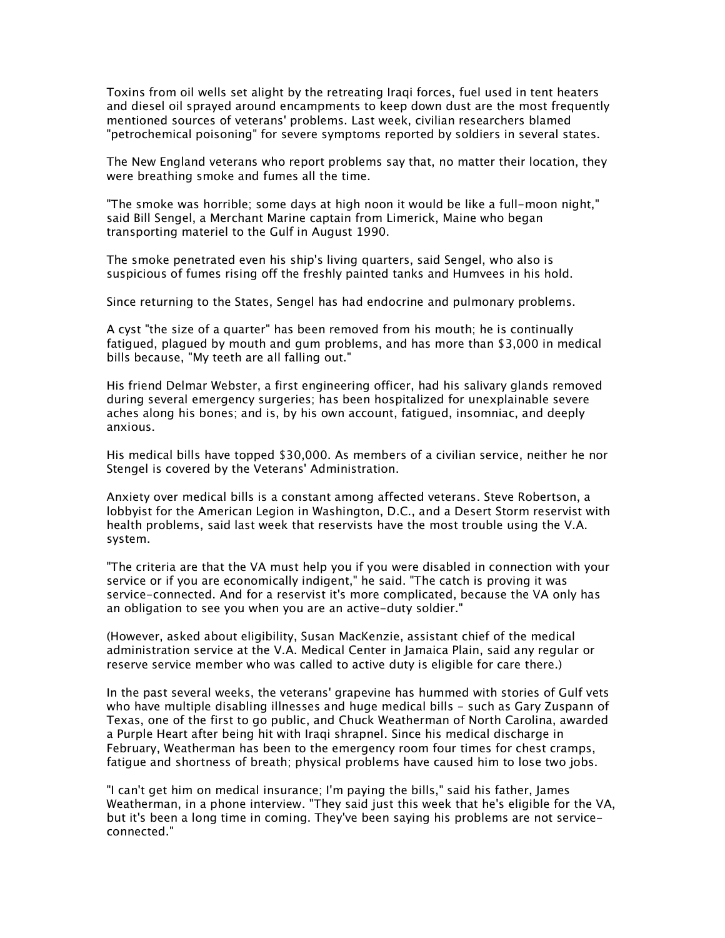Toxins from oil wells set alight by the retreating Iraqi forces, fuel used in tent heaters and diesel oil sprayed around encampments to keep down dust are the most frequently mentioned sources of veterans' problems. Last week, civilian researchers blamed "petrochemical poisoning" for severe symptoms reported by soldiers in several states.

The New England veterans who report problems say that, no matter their location, they were breathing smoke and fumes all the time.

"The smoke was horrible; some days at high noon it would be like a full-moon night," said Bill Sengel, a Merchant Marine captain from Limerick, Maine who began transporting materiel to the Gulf in August 1990.

The smoke penetrated even his ship's living quarters, said Sengel, who also is suspicious of fumes rising off the freshly painted tanks and Humvees in his hold.

Since returning to the States, Sengel has had endocrine and pulmonary problems.

A cyst "the size of a quarter" has been removed from his mouth; he is continually fatigued, plagued by mouth and gum problems, and has more than \$3,000 in medical bills because, "My teeth are all falling out."

His friend Delmar Webster, a first engineering officer, had his salivary glands removed during several emergency surgeries; has been hospitalized for unexplainable severe aches along his bones; and is, by his own account, fatigued, insomniac, and deeply anxious.

His medical bills have topped \$30,000. As members of a civilian service, neither he nor Stengel is covered by the Veterans' Administration.

Anxiety over medical bills is a constant among affected veterans. Steve Robertson, a lobbyist for the American Legion in Washington, D.C., and a Desert Storm reservist with health problems, said last week that reservists have the most trouble using the V.A. system.

"The criteria are that the VA must help you if you were disabled in connection with your service or if you are economically indigent," he said. "The catch is proving it was service-connected. And for a reservist it's more complicated, because the VA only has an obligation to see you when you are an active-duty soldier."

(However, asked about eligibility, Susan MacKenzie, assistant chief of the medical administration service at the V.A. Medical Center in Jamaica Plain, said any regular or reserve service member who was called to active duty is eligible for care there.)

In the past several weeks, the veterans' grapevine has hummed with stories of Gulf vets who have multiple disabling illnesses and huge medical bills - such as Gary Zuspann of Texas, one of the first to go public, and Chuck Weatherman of North Carolina, awarded a Purple Heart after being hit with Iraqi shrapnel. Since his medical discharge in February, Weatherman has been to the emergency room four times for chest cramps, fatigue and shortness of breath; physical problems have caused him to lose two jobs.

"I can't get him on medical insurance; I'm paying the bills," said his father, James Weatherman, in a phone interview. "They said just this week that he's eligible for the VA, but it's been a long time in coming. They've been saying his problems are not serviceconnected."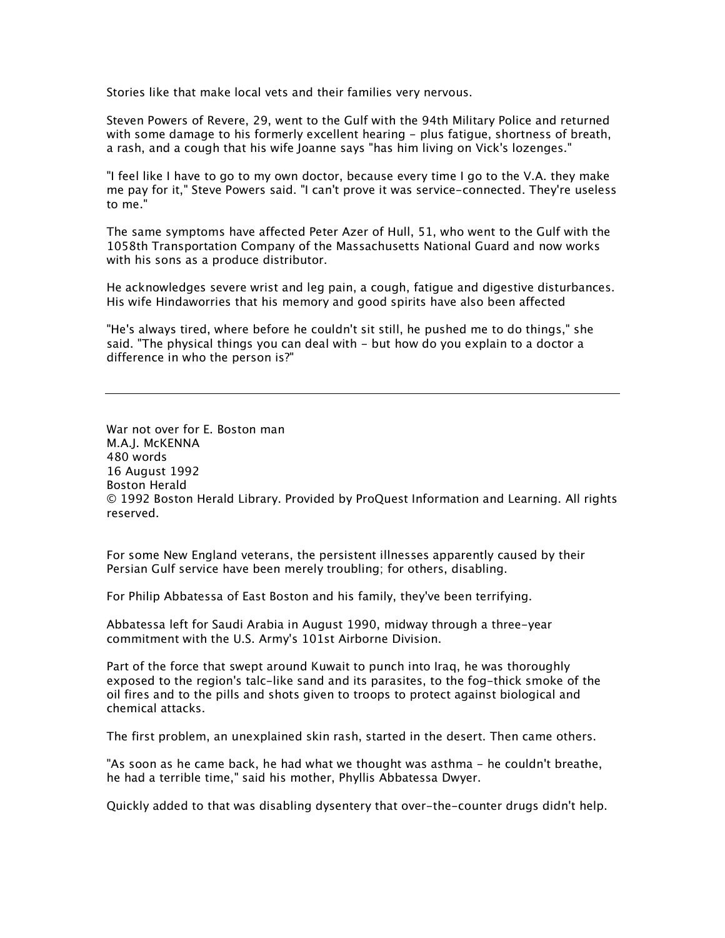Stories like that make local vets and their families very nervous.

Steven Powers of Revere, 29, went to the Gulf with the 94th Military Police and returned with some damage to his formerly excellent hearing - plus fatigue, shortness of breath, a rash, and a cough that his wife Joanne says "has him living on Vick's lozenges."

"I feel like I have to go to my own doctor, because every time I go to the V.A. they make me pay for it," Steve Powers said. "I can't prove it was service-connected. They're useless to me."

The same symptoms have affected Peter Azer of Hull, 51, who went to the Gulf with the 1058th Transportation Company of the Massachusetts National Guard and now works with his sons as a produce distributor.

He acknowledges severe wrist and leg pain, a cough, fatigue and digestive disturbances. His wife Hindaworries that his memory and good spirits have also been affected

"He's always tired, where before he couldn't sit still, he pushed me to do things," she said. "The physical things you can deal with - but how do you explain to a doctor a difference in who the person is?"

War not over for E. Boston man M.A.J. McKENNA 480 words 16 August 1992 Boston Herald © 1992 Boston Herald Library. Provided by ProQuest Information and Learning. All rights reserved.

For some New England veterans, the persistent illnesses apparently caused by their Persian Gulf service have been merely troubling; for others, disabling.

For Philip Abbatessa of East Boston and his family, they've been terrifying.

Abbatessa left for Saudi Arabia in August 1990, midway through a three-year commitment with the U.S. Army's 101st Airborne Division.

Part of the force that swept around Kuwait to punch into Iraq, he was thoroughly exposed to the region's talc-like sand and its parasites, to the fog-thick smoke of the oil fires and to the pills and shots given to troops to protect against biological and chemical attacks.

The first problem, an unexplained skin rash, started in the desert. Then came others.

"As soon as he came back, he had what we thought was asthma - he couldn't breathe, he had a terrible time," said his mother, Phyllis Abbatessa Dwyer.

Quickly added to that was disabling dysentery that over-the-counter drugs didn't help.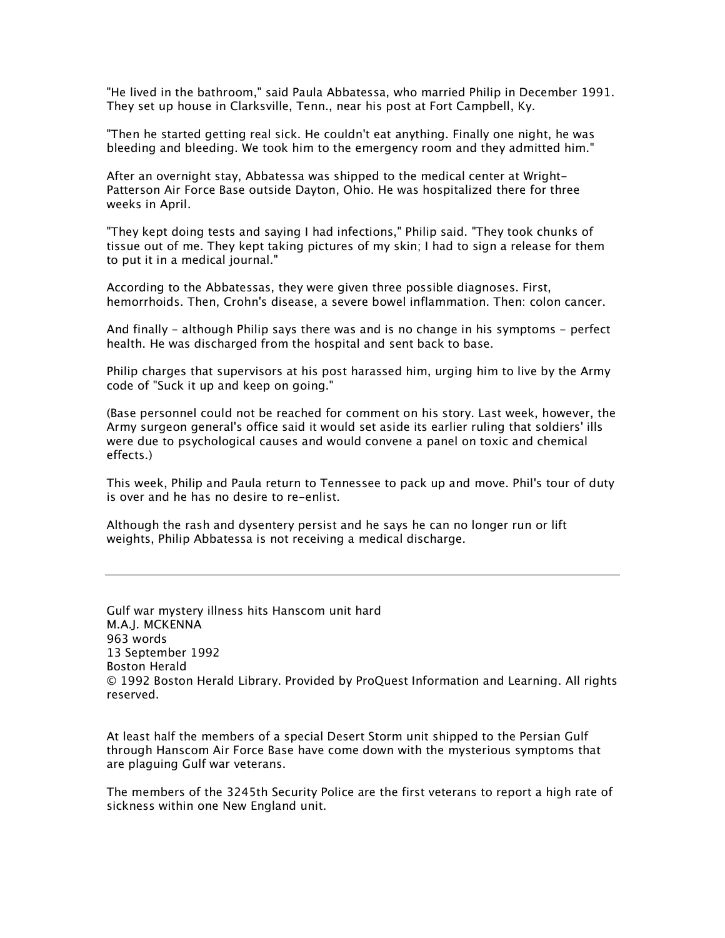"He lived in the bathroom," said Paula Abbatessa, who married Philip in December 1991. They set up house in Clarksville, Tenn., near his post at Fort Campbell, Ky.

"Then he started getting real sick. He couldn't eat anything. Finally one night, he was bleeding and bleeding. We took him to the emergency room and they admitted him."

After an overnight stay, Abbatessa was shipped to the medical center at Wright-Patterson Air Force Base outside Dayton, Ohio. He was hospitalized there for three weeks in April.

"They kept doing tests and saying I had infections," Philip said. "They took chunks of tissue out of me. They kept taking pictures of my skin; I had to sign a release for them to put it in a medical journal."

According to the Abbatessas, they were given three possible diagnoses. First, hemorrhoids. Then, Crohn's disease, a severe bowel inflammation. Then: colon cancer.

And finally - although Philip says there was and is no change in his symptoms - perfect health. He was discharged from the hospital and sent back to base.

Philip charges that supervisors at his post harassed him, urging him to live by the Army code of "Suck it up and keep on going."

(Base personnel could not be reached for comment on his story. Last week, however, the Army surgeon general's office said it would set aside its earlier ruling that soldiers' ills were due to psychological causes and would convene a panel on toxic and chemical effects.)

This week, Philip and Paula return to Tennessee to pack up and move. Phil's tour of duty is over and he has no desire to re-enlist.

Although the rash and dysentery persist and he says he can no longer run or lift weights, Philip Abbatessa is not receiving a medical discharge.

Gulf war mystery illness hits Hanscom unit hard M.A.J. MCKENNA 963 words 13 September 1992 Boston Herald © 1992 Boston Herald Library. Provided by ProQuest Information and Learning. All rights reserved.

At least half the members of a special Desert Storm unit shipped to the Persian Gulf through Hanscom Air Force Base have come down with the mysterious symptoms that are plaguing Gulf war veterans.

The members of the 3245th Security Police are the first veterans to report a high rate of sickness within one New England unit.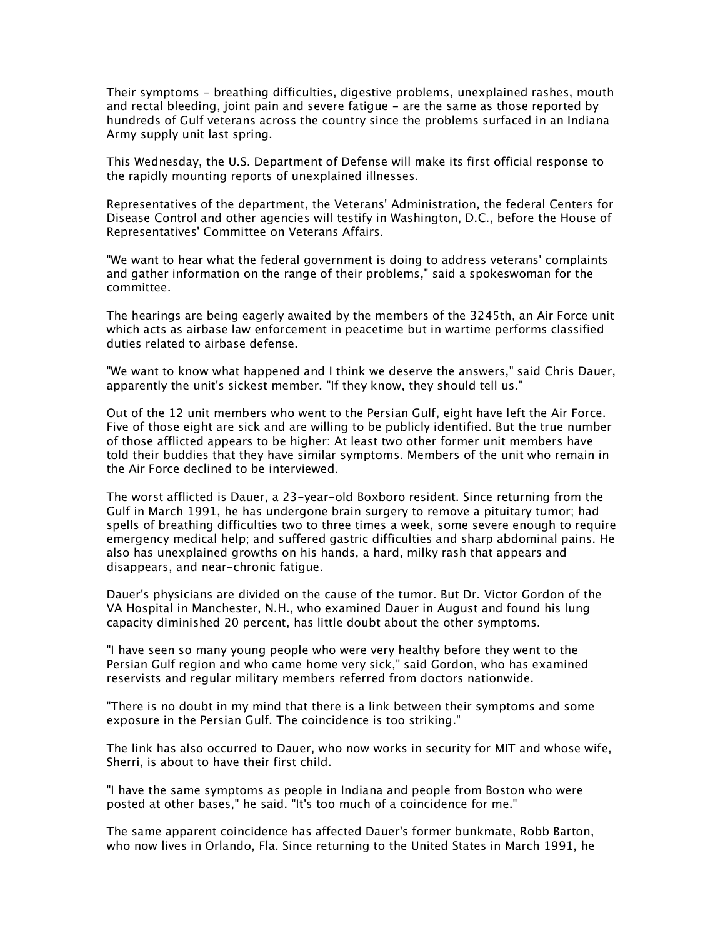Their symptoms - breathing difficulties, digestive problems, unexplained rashes, mouth and rectal bleeding, joint pain and severe fatigue - are the same as those reported by hundreds of Gulf veterans across the country since the problems surfaced in an Indiana Army supply unit last spring.

This Wednesday, the U.S. Department of Defense will make its first official response to the rapidly mounting reports of unexplained illnesses.

Representatives of the department, the Veterans' Administration, the federal Centers for Disease Control and other agencies will testify in Washington, D.C., before the House of Representatives' Committee on Veterans Affairs.

"We want to hear what the federal government is doing to address veterans' complaints and gather information on the range of their problems," said a spokeswoman for the committee.

The hearings are being eagerly awaited by the members of the 3245th, an Air Force unit which acts as airbase law enforcement in peacetime but in wartime performs classified duties related to airbase defense.

"We want to know what happened and I think we deserve the answers," said Chris Dauer, apparently the unit's sickest member. "If they know, they should tell us."

Out of the 12 unit members who went to the Persian Gulf, eight have left the Air Force. Five of those eight are sick and are willing to be publicly identified. But the true number of those afflicted appears to be higher: At least two other former unit members have told their buddies that they have similar symptoms. Members of the unit who remain in the Air Force declined to be interviewed.

The worst afflicted is Dauer, a 23-year-old Boxboro resident. Since returning from the Gulf in March 1991, he has undergone brain surgery to remove a pituitary tumor; had spells of breathing difficulties two to three times a week, some severe enough to require emergency medical help; and suffered gastric difficulties and sharp abdominal pains. He also has unexplained growths on his hands, a hard, milky rash that appears and disappears, and near-chronic fatigue.

Dauer's physicians are divided on the cause of the tumor. But Dr. Victor Gordon of the VA Hospital in Manchester, N.H., who examined Dauer in August and found his lung capacity diminished 20 percent, has little doubt about the other symptoms.

"I have seen so many young people who were very healthy before they went to the Persian Gulf region and who came home very sick," said Gordon, who has examined reservists and regular military members referred from doctors nationwide.

"There is no doubt in my mind that there is a link between their symptoms and some exposure in the Persian Gulf. The coincidence is too striking."

The link has also occurred to Dauer, who now works in security for MIT and whose wife, Sherri, is about to have their first child.

"I have the same symptoms as people in Indiana and people from Boston who were posted at other bases," he said. "It's too much of a coincidence for me."

The same apparent coincidence has affected Dauer's former bunkmate, Robb Barton, who now lives in Orlando, Fla. Since returning to the United States in March 1991, he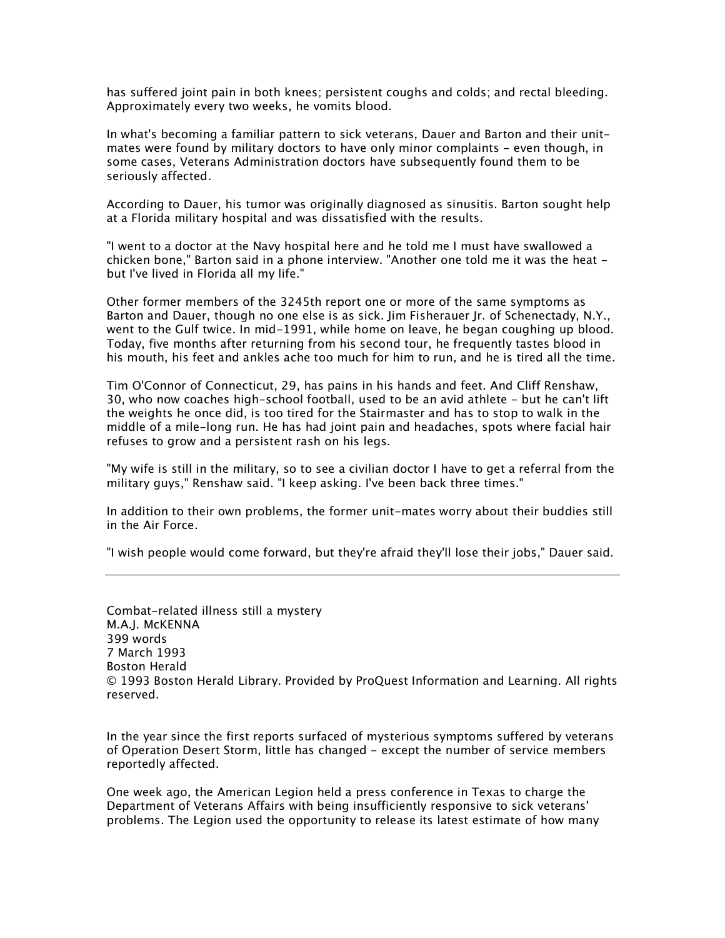has suffered joint pain in both knees; persistent coughs and colds; and rectal bleeding. Approximately every two weeks, he vomits blood.

In what's becoming a familiar pattern to sick veterans, Dauer and Barton and their unitmates were found by military doctors to have only minor complaints - even though, in some cases, Veterans Administration doctors have subsequently found them to be seriously affected.

According to Dauer, his tumor was originally diagnosed as sinusitis. Barton sought help at a Florida military hospital and was dissatisfied with the results.

"I went to a doctor at the Navy hospital here and he told me I must have swallowed a chicken bone," Barton said in a phone interview. "Another one told me it was the heat but I've lived in Florida all my life."

Other former members of the 3245th report one or more of the same symptoms as Barton and Dauer, though no one else is as sick. Jim Fisherauer Jr. of Schenectady, N.Y., went to the Gulf twice. In mid-1991, while home on leave, he began coughing up blood. Today, five months after returning from his second tour, he frequently tastes blood in his mouth, his feet and ankles ache too much for him to run, and he is tired all the time.

Tim O'Connor of Connecticut, 29, has pains in his hands and feet. And Cliff Renshaw, 30, who now coaches high-school football, used to be an avid athlete - but he can't lift the weights he once did, is too tired for the Stairmaster and has to stop to walk in the middle of a mile-long run. He has had joint pain and headaches, spots where facial hair refuses to grow and a persistent rash on his legs.

"My wife is still in the military, so to see a civilian doctor I have to get a referral from the military guys," Renshaw said. "I keep asking. I've been back three times."

In addition to their own problems, the former unit-mates worry about their buddies still in the Air Force.

"I wish people would come forward, but they're afraid they'll lose their jobs," Dauer said.

Combat-related illness still a mystery M.A.J. McKENNA 399 words 7 March 1993 Boston Herald © 1993 Boston Herald Library. Provided by ProQuest Information and Learning. All rights reserved.

In the year since the first reports surfaced of mysterious symptoms suffered by veterans of Operation Desert Storm, little has changed - except the number of service members reportedly affected.

One week ago, the American Legion held a press conference in Texas to charge the Department of Veterans Affairs with being insufficiently responsive to sick veterans' problems. The Legion used the opportunity to release its latest estimate of how many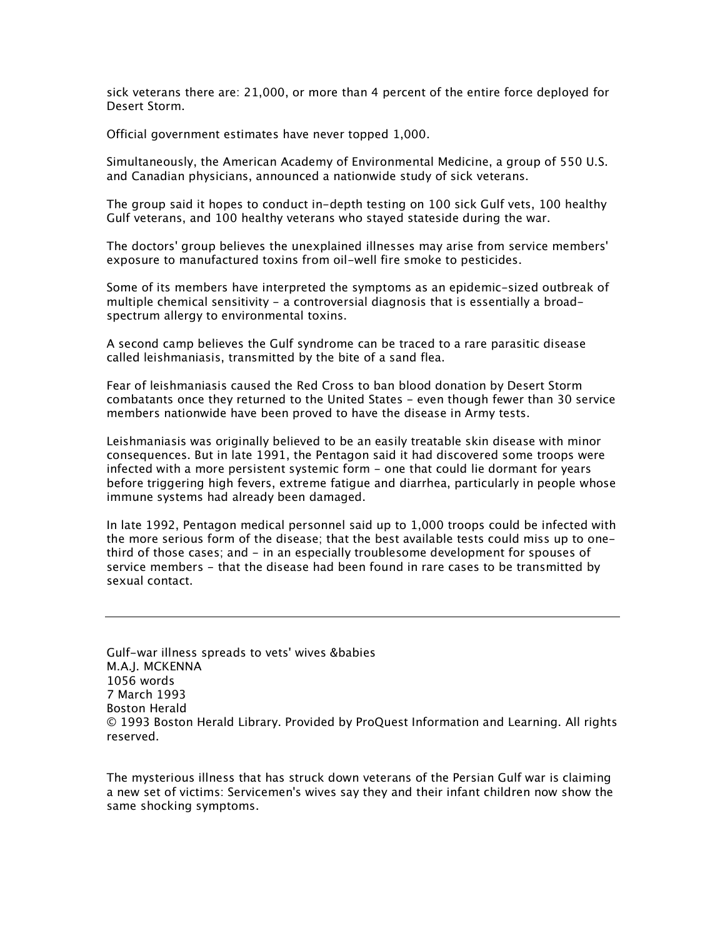sick veterans there are: 21,000, or more than 4 percent of the entire force deployed for Desert Storm.

Official government estimates have never topped 1,000.

Simultaneously, the American Academy of Environmental Medicine, a group of 550 U.S. and Canadian physicians, announced a nationwide study of sick veterans.

The group said it hopes to conduct in-depth testing on 100 sick Gulf vets, 100 healthy Gulf veterans, and 100 healthy veterans who stayed stateside during the war.

The doctors' group believes the unexplained illnesses may arise from service members' exposure to manufactured toxins from oil-well fire smoke to pesticides.

Some of its members have interpreted the symptoms as an epidemic-sized outbreak of multiple chemical sensitivity - a controversial diagnosis that is essentially a broadspectrum allergy to environmental toxins.

A second camp believes the Gulf syndrome can be traced to a rare parasitic disease called leishmaniasis, transmitted by the bite of a sand flea.

Fear of leishmaniasis caused the Red Cross to ban blood donation by Desert Storm combatants once they returned to the United States - even though fewer than 30 service members nationwide have been proved to have the disease in Army tests.

Leishmaniasis was originally believed to be an easily treatable skin disease with minor consequences. But in late 1991, the Pentagon said it had discovered some troops were infected with a more persistent systemic form - one that could lie dormant for years before triggering high fevers, extreme fatigue and diarrhea, particularly in people whose immune systems had already been damaged.

In late 1992, Pentagon medical personnel said up to 1,000 troops could be infected with the more serious form of the disease; that the best available tests could miss up to onethird of those cases; and - in an especially troublesome development for spouses of service members - that the disease had been found in rare cases to be transmitted by sexual contact.

Gulf-war illness spreads to vets' wives &babies M.A.J. MCKENNA 1056 words 7 March 1993 Boston Herald © 1993 Boston Herald Library. Provided by ProQuest Information and Learning. All rights reserved.

The mysterious illness that has struck down veterans of the Persian Gulf war is claiming a new set of victims: Servicemen's wives say they and their infant children now show the same shocking symptoms.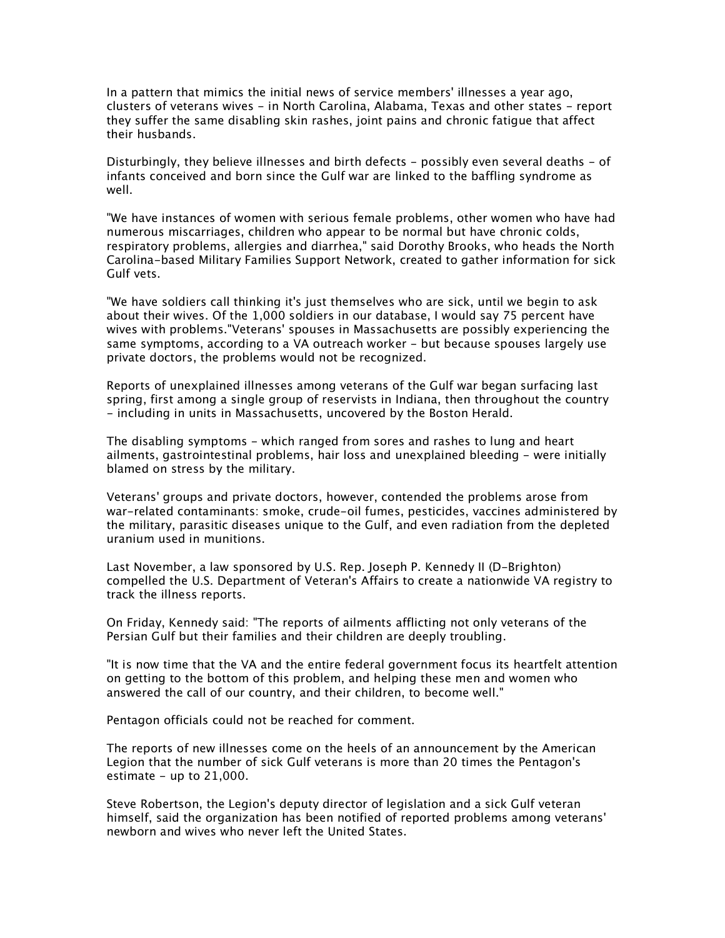In a pattern that mimics the initial news of service members' illnesses a year ago, clusters of veterans wives - in North Carolina, Alabama, Texas and other states - report they suffer the same disabling skin rashes, joint pains and chronic fatigue that affect their husbands.

Disturbingly, they believe illnesses and birth defects - possibly even several deaths - of infants conceived and born since the Gulf war are linked to the baffling syndrome as well.

"We have instances of women with serious female problems, other women who have had numerous miscarriages, children who appear to be normal but have chronic colds, respiratory problems, allergies and diarrhea," said Dorothy Brooks, who heads the North Carolina-based Military Families Support Network, created to gather information for sick Gulf vets.

"We have soldiers call thinking it's just themselves who are sick, until we begin to ask about their wives. Of the 1,000 soldiers in our database, I would say 75 percent have wives with problems."Veterans' spouses in Massachusetts are possibly experiencing the same symptoms, according to a VA outreach worker - but because spouses largely use private doctors, the problems would not be recognized.

Reports of unexplained illnesses among veterans of the Gulf war began surfacing last spring, first among a single group of reservists in Indiana, then throughout the country - including in units in Massachusetts, uncovered by the Boston Herald.

The disabling symptoms - which ranged from sores and rashes to lung and heart ailments, gastrointestinal problems, hair loss and unexplained bleeding - were initially blamed on stress by the military.

Veterans' groups and private doctors, however, contended the problems arose from war-related contaminants: smoke, crude-oil fumes, pesticides, vaccines administered by the military, parasitic diseases unique to the Gulf, and even radiation from the depleted uranium used in munitions.

Last November, a law sponsored by U.S. Rep. Joseph P. Kennedy II (D-Brighton) compelled the U.S. Department of Veteran's Affairs to create a nationwide VA registry to track the illness reports.

On Friday, Kennedy said: "The reports of ailments afflicting not only veterans of the Persian Gulf but their families and their children are deeply troubling.

"It is now time that the VA and the entire federal government focus its heartfelt attention on getting to the bottom of this problem, and helping these men and women who answered the call of our country, and their children, to become well."

Pentagon officials could not be reached for comment.

The reports of new illnesses come on the heels of an announcement by the American Legion that the number of sick Gulf veterans is more than 20 times the Pentagon's estimate - up to  $21,000$ .

Steve Robertson, the Legion's deputy director of legislation and a sick Gulf veteran himself, said the organization has been notified of reported problems among veterans' newborn and wives who never left the United States.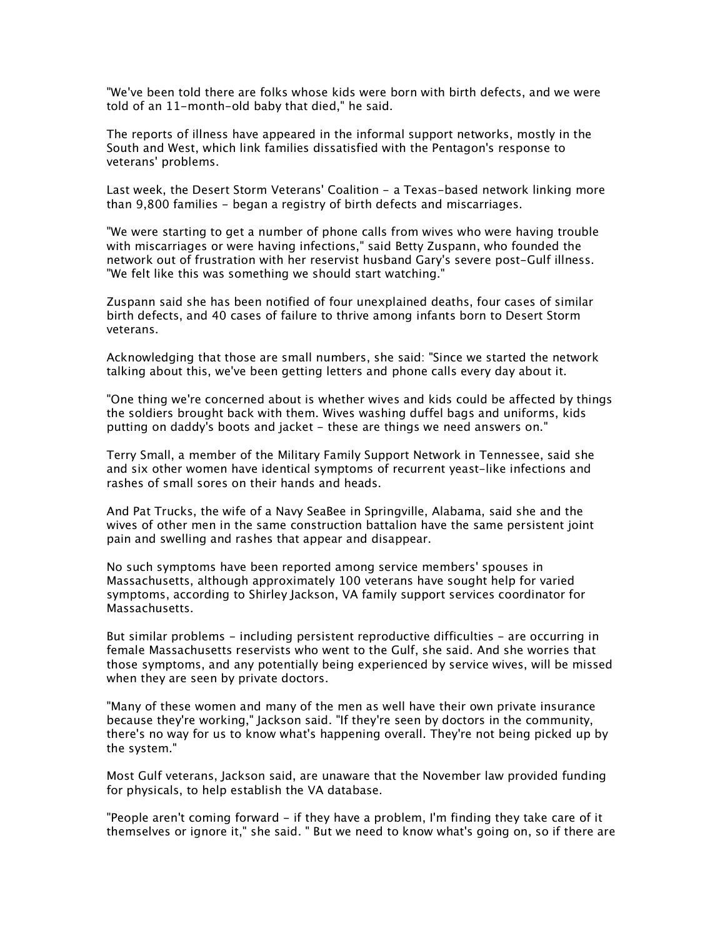"We've been told there are folks whose kids were born with birth defects, and we were told of an 11-month-old baby that died," he said.

The reports of illness have appeared in the informal support networks, mostly in the South and West, which link families dissatisfied with the Pentagon's response to veterans' problems.

Last week, the Desert Storm Veterans' Coalition - a Texas-based network linking more than 9,800 families - began a registry of birth defects and miscarriages.

"We were starting to get a number of phone calls from wives who were having trouble with miscarriages or were having infections," said Betty Zuspann, who founded the network out of frustration with her reservist husband Gary's severe post-Gulf illness. "We felt like this was something we should start watching."

Zuspann said she has been notified of four unexplained deaths, four cases of similar birth defects, and 40 cases of failure to thrive among infants born to Desert Storm veterans.

Acknowledging that those are small numbers, she said: "Since we started the network talking about this, we've been getting letters and phone calls every day about it.

"One thing we're concerned about is whether wives and kids could be affected by things the soldiers brought back with them. Wives washing duffel bags and uniforms, kids putting on daddy's boots and jacket - these are things we need answers on."

Terry Small, a member of the Military Family Support Network in Tennessee, said she and six other women have identical symptoms of recurrent yeast-like infections and rashes of small sores on their hands and heads.

And Pat Trucks, the wife of a Navy SeaBee in Springville, Alabama, said she and the wives of other men in the same construction battalion have the same persistent joint pain and swelling and rashes that appear and disappear.

No such symptoms have been reported among service members' spouses in Massachusetts, although approximately 100 veterans have sought help for varied symptoms, according to Shirley Jackson, VA family support services coordinator for Massachusetts.

But similar problems - including persistent reproductive difficulties - are occurring in female Massachusetts reservists who went to the Gulf, she said. And she worries that those symptoms, and any potentially being experienced by service wives, will be missed when they are seen by private doctors.

"Many of these women and many of the men as well have their own private insurance because they're working," Jackson said. "If they're seen by doctors in the community, there's no way for us to know what's happening overall. They're not being picked up by the system."

Most Gulf veterans, Jackson said, are unaware that the November law provided funding for physicals, to help establish the VA database.

"People aren't coming forward - if they have a problem, I'm finding they take care of it themselves or ignore it," she said. " But we need to know what's going on, so if there are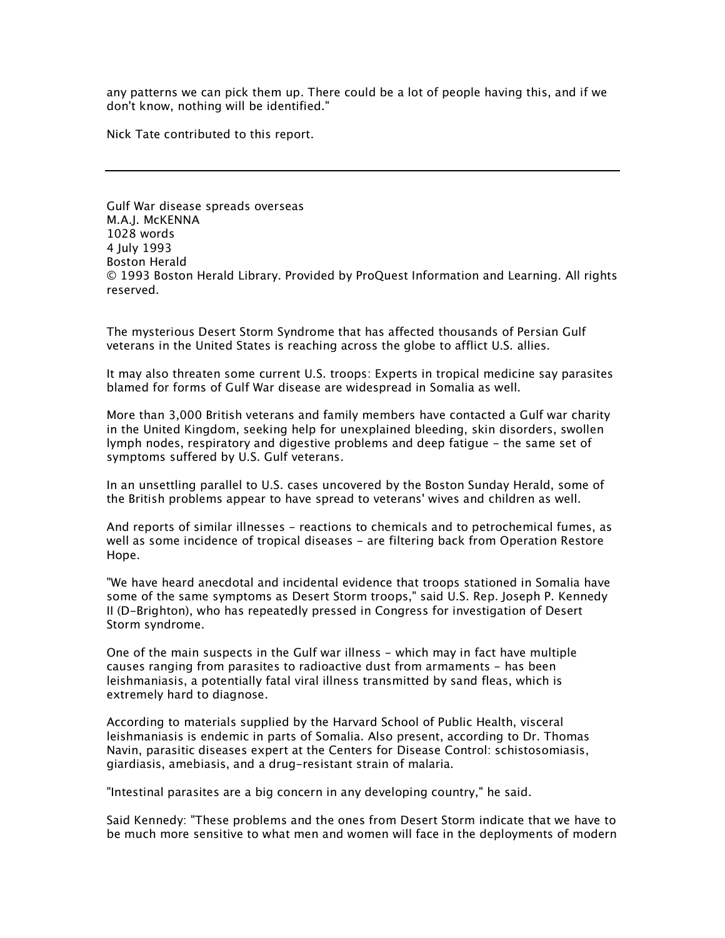any patterns we can pick them up. There could be a lot of people having this, and if we don't know, nothing will be identified."

Nick Tate contributed to this report.

Gulf War disease spreads overseas M.A.J. McKENNA 1028 words 4 July 1993 Boston Herald © 1993 Boston Herald Library. Provided by ProQuest Information and Learning. All rights reserved.

The mysterious Desert Storm Syndrome that has affected thousands of Persian Gulf veterans in the United States is reaching across the globe to afflict U.S. allies.

It may also threaten some current U.S. troops: Experts in tropical medicine say parasites blamed for forms of Gulf War disease are widespread in Somalia as well.

More than 3,000 British veterans and family members have contacted a Gulf war charity in the United Kingdom, seeking help for unexplained bleeding, skin disorders, swollen lymph nodes, respiratory and digestive problems and deep fatigue - the same set of symptoms suffered by U.S. Gulf veterans.

In an unsettling parallel to U.S. cases uncovered by the Boston Sunday Herald, some of the British problems appear to have spread to veterans' wives and children as well.

And reports of similar illnesses - reactions to chemicals and to petrochemical fumes, as well as some incidence of tropical diseases - are filtering back from Operation Restore Hope.

"We have heard anecdotal and incidental evidence that troops stationed in Somalia have some of the same symptoms as Desert Storm troops," said U.S. Rep. Joseph P. Kennedy II (D-Brighton), who has repeatedly pressed in Congress for investigation of Desert Storm syndrome.

One of the main suspects in the Gulf war illness - which may in fact have multiple causes ranging from parasites to radioactive dust from armaments - has been leishmaniasis, a potentially fatal viral illness transmitted by sand fleas, which is extremely hard to diagnose.

According to materials supplied by the Harvard School of Public Health, visceral leishmaniasis is endemic in parts of Somalia. Also present, according to Dr. Thomas Navin, parasitic diseases expert at the Centers for Disease Control: schistosomiasis, giardiasis, amebiasis, and a drug-resistant strain of malaria.

"Intestinal parasites are a big concern in any developing country," he said.

Said Kennedy: "These problems and the ones from Desert Storm indicate that we have to be much more sensitive to what men and women will face in the deployments of modern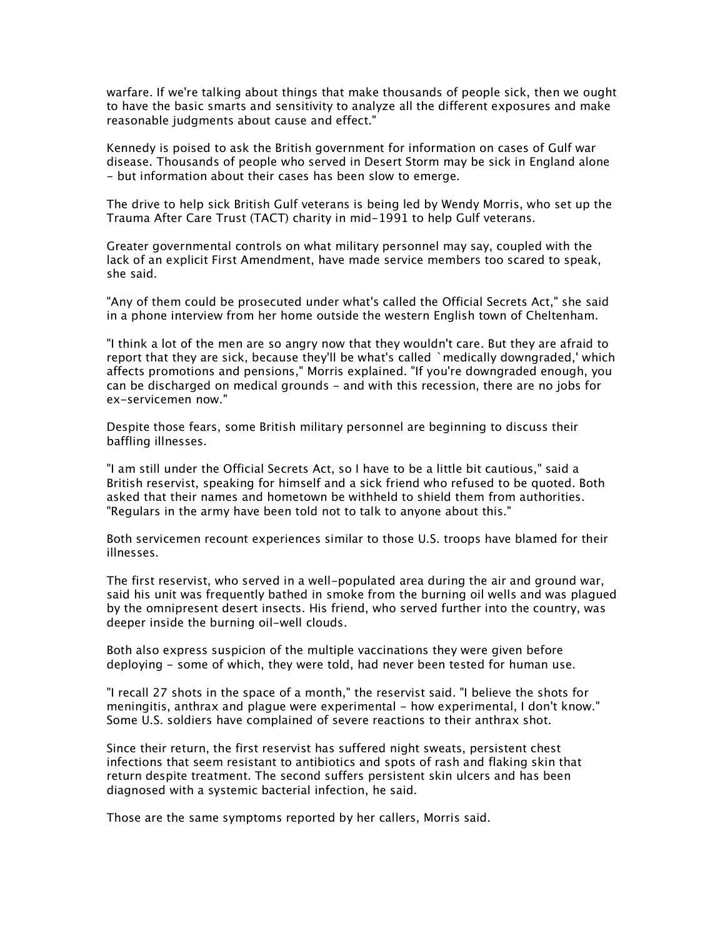warfare. If we're talking about things that make thousands of people sick, then we ought to have the basic smarts and sensitivity to analyze all the different exposures and make reasonable judgments about cause and effect."

Kennedy is poised to ask the British government for information on cases of Gulf war disease. Thousands of people who served in Desert Storm may be sick in England alone - but information about their cases has been slow to emerge.

The drive to help sick British Gulf veterans is being led by Wendy Morris, who set up the Trauma After Care Trust (TACT) charity in mid-1991 to help Gulf veterans.

Greater governmental controls on what military personnel may say, coupled with the lack of an explicit First Amendment, have made service members too scared to speak, she said.

"Any of them could be prosecuted under what's called the Official Secrets Act," she said in a phone interview from her home outside the western English town of Cheltenham.

"I think a lot of the men are so angry now that they wouldn't care. But they are afraid to report that they are sick, because they'll be what's called `medically downgraded,' which affects promotions and pensions," Morris explained. "If you're downgraded enough, you can be discharged on medical grounds - and with this recession, there are no jobs for ex-servicemen now."

Despite those fears, some British military personnel are beginning to discuss their baffling illnesses.

"I am still under the Official Secrets Act, so I have to be a little bit cautious," said a British reservist, speaking for himself and a sick friend who refused to be quoted. Both asked that their names and hometown be withheld to shield them from authorities. "Regulars in the army have been told not to talk to anyone about this."

Both servicemen recount experiences similar to those U.S. troops have blamed for their illnesses.

The first reservist, who served in a well-populated area during the air and ground war, said his unit was frequently bathed in smoke from the burning oil wells and was plagued by the omnipresent desert insects. His friend, who served further into the country, was deeper inside the burning oil-well clouds.

Both also express suspicion of the multiple vaccinations they were given before deploying - some of which, they were told, had never been tested for human use.

"I recall 27 shots in the space of a month," the reservist said. "I believe the shots for meningitis, anthrax and plague were experimental - how experimental, I don't know." Some U.S. soldiers have complained of severe reactions to their anthrax shot.

Since their return, the first reservist has suffered night sweats, persistent chest infections that seem resistant to antibiotics and spots of rash and flaking skin that return despite treatment. The second suffers persistent skin ulcers and has been diagnosed with a systemic bacterial infection, he said.

Those are the same symptoms reported by her callers, Morris said.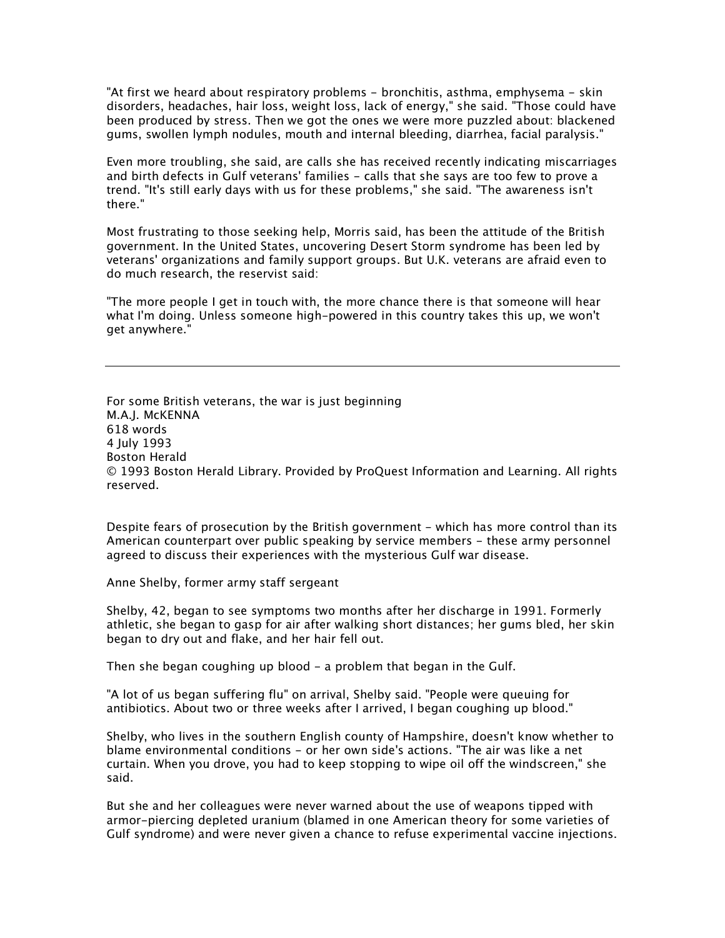"At first we heard about respiratory problems - bronchitis, asthma, emphysema - skin disorders, headaches, hair loss, weight loss, lack of energy," she said. "Those could have been produced by stress. Then we got the ones we were more puzzled about: blackened gums, swollen lymph nodules, mouth and internal bleeding, diarrhea, facial paralysis."

Even more troubling, she said, are calls she has received recently indicating miscarriages and birth defects in Gulf veterans' families - calls that she says are too few to prove a trend. "It's still early days with us for these problems," she said. "The awareness isn't there."

Most frustrating to those seeking help, Morris said, has been the attitude of the British government. In the United States, uncovering Desert Storm syndrome has been led by veterans' organizations and family support groups. But U.K. veterans are afraid even to do much research, the reservist said:

"The more people I get in touch with, the more chance there is that someone will hear what I'm doing. Unless someone high-powered in this country takes this up, we won't get anywhere."

For some British veterans, the war is just beginning M.A.J. McKENNA 618 words 4 July 1993 Boston Herald © 1993 Boston Herald Library. Provided by ProQuest Information and Learning. All rights reserved.

Despite fears of prosecution by the British government - which has more control than its American counterpart over public speaking by service members - these army personnel agreed to discuss their experiences with the mysterious Gulf war disease.

Anne Shelby, former army staff sergeant

Shelby, 42, began to see symptoms two months after her discharge in 1991. Formerly athletic, she began to gasp for air after walking short distances; her gums bled, her skin began to dry out and flake, and her hair fell out.

Then she began coughing up blood - a problem that began in the Gulf.

"A lot of us began suffering flu" on arrival, Shelby said. "People were queuing for antibiotics. About two or three weeks after I arrived, I began coughing up blood."

Shelby, who lives in the southern English county of Hampshire, doesn't know whether to blame environmental conditions - or her own side's actions. "The air was like a net curtain. When you drove, you had to keep stopping to wipe oil off the windscreen," she said.

But she and her colleagues were never warned about the use of weapons tipped with armor-piercing depleted uranium (blamed in one American theory for some varieties of Gulf syndrome) and were never given a chance to refuse experimental vaccine injections.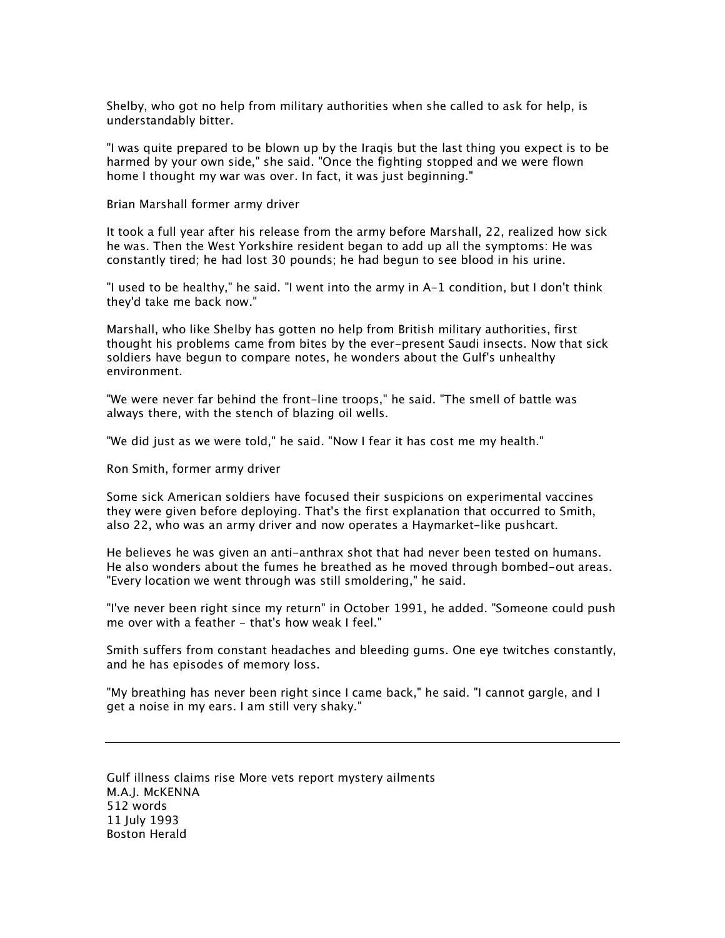Shelby, who got no help from military authorities when she called to ask for help, is understandably bitter.

"I was quite prepared to be blown up by the Iraqis but the last thing you expect is to be harmed by your own side," she said. "Once the fighting stopped and we were flown home I thought my war was over. In fact, it was just beginning."

Brian Marshall former army driver

It took a full year after his release from the army before Marshall, 22, realized how sick he was. Then the West Yorkshire resident began to add up all the symptoms: He was constantly tired; he had lost 30 pounds; he had begun to see blood in his urine.

"I used to be healthy," he said. "I went into the army in A-1 condition, but I don't think they'd take me back now."

Marshall, who like Shelby has gotten no help from British military authorities, first thought his problems came from bites by the ever-present Saudi insects. Now that sick soldiers have begun to compare notes, he wonders about the Gulf's unhealthy environment.

"We were never far behind the front-line troops," he said. "The smell of battle was always there, with the stench of blazing oil wells.

"We did just as we were told," he said. "Now I fear it has cost me my health."

Ron Smith, former army driver

Some sick American soldiers have focused their suspicions on experimental vaccines they were given before deploying. That's the first explanation that occurred to Smith, also 22, who was an army driver and now operates a Haymarket-like pushcart.

He believes he was given an anti-anthrax shot that had never been tested on humans. He also wonders about the fumes he breathed as he moved through bombed-out areas. "Every location we went through was still smoldering," he said.

"I've never been right since my return" in October 1991, he added. "Someone could push me over with a feather - that's how weak I feel."

Smith suffers from constant headaches and bleeding gums. One eye twitches constantly, and he has episodes of memory loss.

"My breathing has never been right since I came back," he said. "I cannot gargle, and I get a noise in my ears. I am still very shaky."

Gulf illness claims rise More vets report mystery ailments M.A.J. McKENNA 512 words 11 July 1993 Boston Herald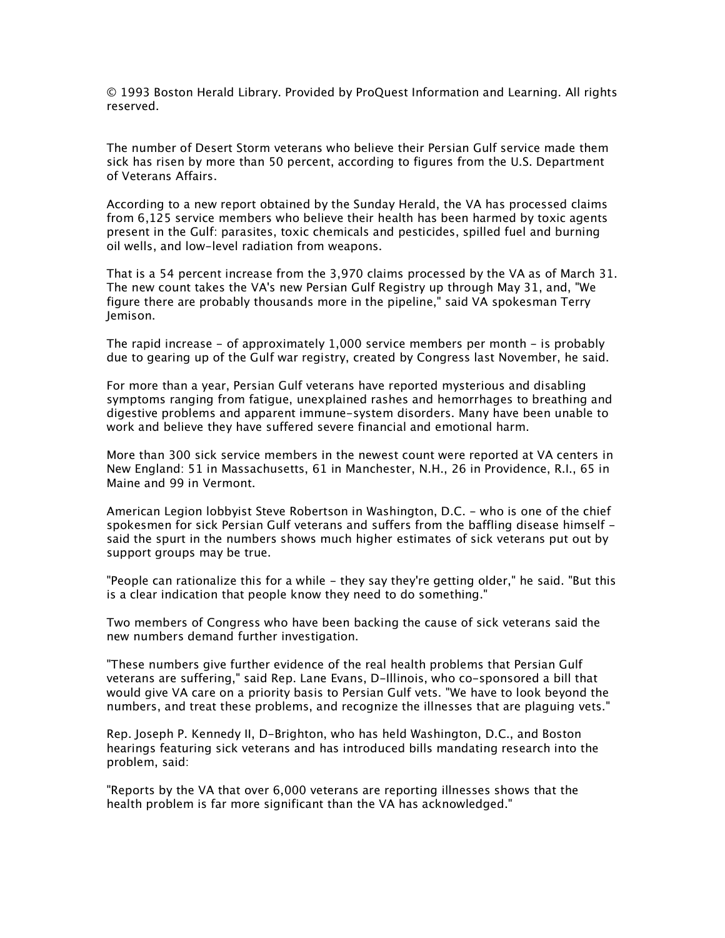© 1993 Boston Herald Library. Provided by ProQuest Information and Learning. All rights reserved.

The number of Desert Storm veterans who believe their Persian Gulf service made them sick has risen by more than 50 percent, according to figures from the U.S. Department of Veterans Affairs.

According to a new report obtained by the Sunday Herald, the VA has processed claims from 6,125 service members who believe their health has been harmed by toxic agents present in the Gulf: parasites, toxic chemicals and pesticides, spilled fuel and burning oil wells, and low-level radiation from weapons.

That is a 54 percent increase from the 3,970 claims processed by the VA as of March 31. The new count takes the VA's new Persian Gulf Registry up through May 31, and, "We figure there are probably thousands more in the pipeline," said VA spokesman Terry Jemison.

The rapid increase - of approximately 1,000 service members per month - is probably due to gearing up of the Gulf war registry, created by Congress last November, he said.

For more than a year, Persian Gulf veterans have reported mysterious and disabling symptoms ranging from fatigue, unexplained rashes and hemorrhages to breathing and digestive problems and apparent immune-system disorders. Many have been unable to work and believe they have suffered severe financial and emotional harm.

More than 300 sick service members in the newest count were reported at VA centers in New England: 51 in Massachusetts, 61 in Manchester, N.H., 26 in Providence, R.I., 65 in Maine and 99 in Vermont.

American Legion lobbyist Steve Robertson in Washington, D.C. - who is one of the chief spokesmen for sick Persian Gulf veterans and suffers from the baffling disease himself said the spurt in the numbers shows much higher estimates of sick veterans put out by support groups may be true.

"People can rationalize this for a while - they say they're getting older," he said. "But this is a clear indication that people know they need to do something."

Two members of Congress who have been backing the cause of sick veterans said the new numbers demand further investigation.

"These numbers give further evidence of the real health problems that Persian Gulf veterans are suffering," said Rep. Lane Evans, D-Illinois, who co-sponsored a bill that would give VA care on a priority basis to Persian Gulf vets. "We have to look beyond the numbers, and treat these problems, and recognize the illnesses that are plaguing vets."

Rep. Joseph P. Kennedy II, D-Brighton, who has held Washington, D.C., and Boston hearings featuring sick veterans and has introduced bills mandating research into the problem, said:

"Reports by the VA that over 6,000 veterans are reporting illnesses shows that the health problem is far more significant than the VA has acknowledged."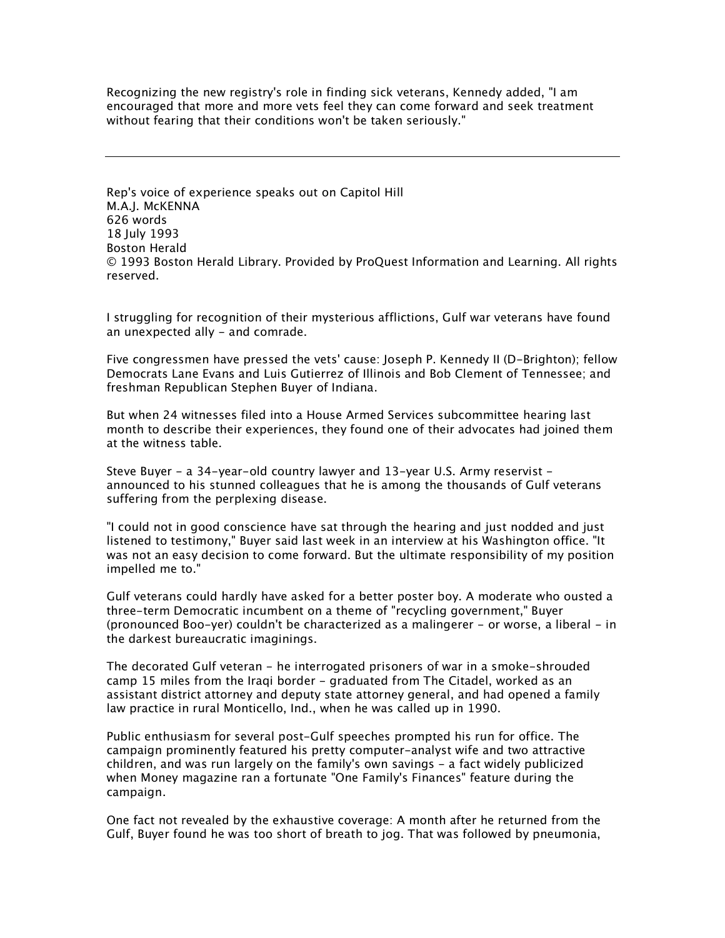Recognizing the new registry's role in finding sick veterans, Kennedy added, "I am encouraged that more and more vets feel they can come forward and seek treatment without fearing that their conditions won't be taken seriously."

Rep's voice of experience speaks out on Capitol Hill M.A.J. McKENNA 626 words 18 July 1993 Boston Herald © 1993 Boston Herald Library. Provided by ProQuest Information and Learning. All rights reserved.

I struggling for recognition of their mysterious afflictions, Gulf war veterans have found an unexpected ally - and comrade.

Five congressmen have pressed the vets' cause: Joseph P. Kennedy II (D-Brighton); fellow Democrats Lane Evans and Luis Gutierrez of Illinois and Bob Clement of Tennessee; and freshman Republican Stephen Buyer of Indiana.

But when 24 witnesses filed into a House Armed Services subcommittee hearing last month to describe their experiences, they found one of their advocates had joined them at the witness table.

Steve Buyer - a 34-year-old country lawyer and 13-year U.S. Army reservist announced to his stunned colleagues that he is among the thousands of Gulf veterans suffering from the perplexing disease.

"I could not in good conscience have sat through the hearing and just nodded and just listened to testimony," Buyer said last week in an interview at his Washington office. "It was not an easy decision to come forward. But the ultimate responsibility of my position impelled me to."

Gulf veterans could hardly have asked for a better poster boy. A moderate who ousted a three-term Democratic incumbent on a theme of "recycling government," Buyer (pronounced Boo-yer) couldn't be characterized as a malingerer - or worse, a liberal - in the darkest bureaucratic imaginings.

The decorated Gulf veteran - he interrogated prisoners of war in a smoke-shrouded camp 15 miles from the Iraqi border - graduated from The Citadel, worked as an assistant district attorney and deputy state attorney general, and had opened a family law practice in rural Monticello, Ind., when he was called up in 1990.

Public enthusiasm for several post-Gulf speeches prompted his run for office. The campaign prominently featured his pretty computer-analyst wife and two attractive children, and was run largely on the family's own savings - a fact widely publicized when Money magazine ran a fortunate "One Family's Finances" feature during the campaign.

One fact not revealed by the exhaustive coverage: A month after he returned from the Gulf, Buyer found he was too short of breath to jog. That was followed by pneumonia,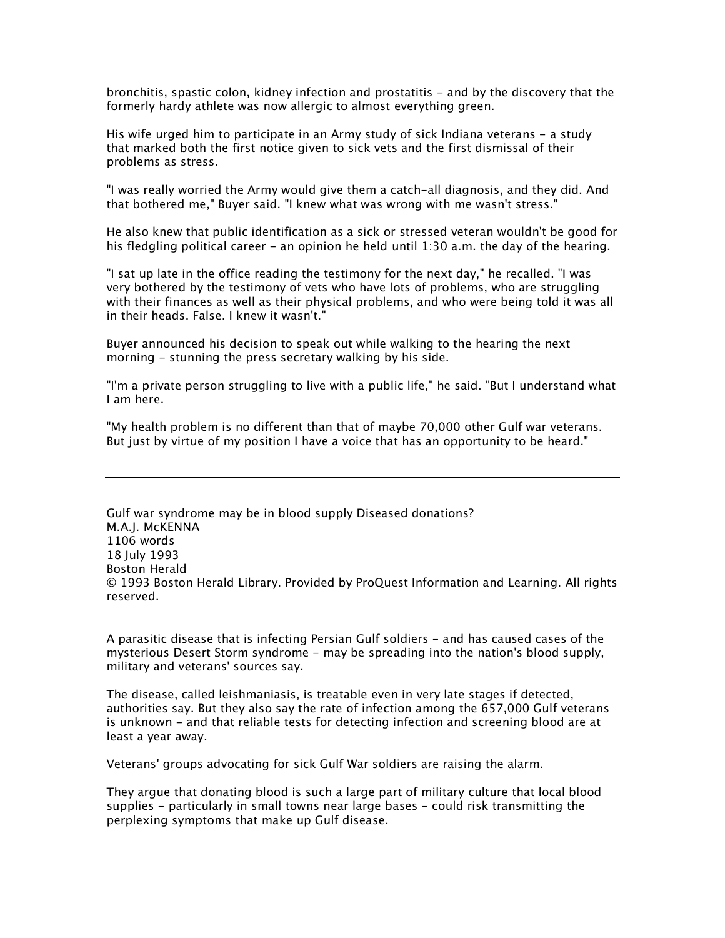bronchitis, spastic colon, kidney infection and prostatitis - and by the discovery that the formerly hardy athlete was now allergic to almost everything green.

His wife urged him to participate in an Army study of sick Indiana veterans – a study that marked both the first notice given to sick vets and the first dismissal of their problems as stress.

"I was really worried the Army would give them a catch-all diagnosis, and they did. And that bothered me," Buyer said. "I knew what was wrong with me wasn't stress."

He also knew that public identification as a sick or stressed veteran wouldn't be good for his fledgling political career - an opinion he held until 1:30 a.m. the day of the hearing.

"I sat up late in the office reading the testimony for the next day," he recalled. "I was very bothered by the testimony of vets who have lots of problems, who are struggling with their finances as well as their physical problems, and who were being told it was all in their heads. False. I knew it wasn't."

Buyer announced his decision to speak out while walking to the hearing the next morning - stunning the press secretary walking by his side.

"I'm a private person struggling to live with a public life," he said. "But I understand what I am here.

"My health problem is no different than that of maybe 70,000 other Gulf war veterans. But just by virtue of my position I have a voice that has an opportunity to be heard."

Gulf war syndrome may be in blood supply Diseased donations? M.A.J. McKENNA 1106 words 18 July 1993 Boston Herald © 1993 Boston Herald Library. Provided by ProQuest Information and Learning. All rights reserved.

A parasitic disease that is infecting Persian Gulf soldiers - and has caused cases of the mysterious Desert Storm syndrome - may be spreading into the nation's blood supply, military and veterans' sources say.

The disease, called leishmaniasis, is treatable even in very late stages if detected, authorities say. But they also say the rate of infection among the 657,000 Gulf veterans is unknown - and that reliable tests for detecting infection and screening blood are at least a year away.

Veterans' groups advocating for sick Gulf War soldiers are raising the alarm.

They argue that donating blood is such a large part of military culture that local blood supplies - particularly in small towns near large bases - could risk transmitting the perplexing symptoms that make up Gulf disease.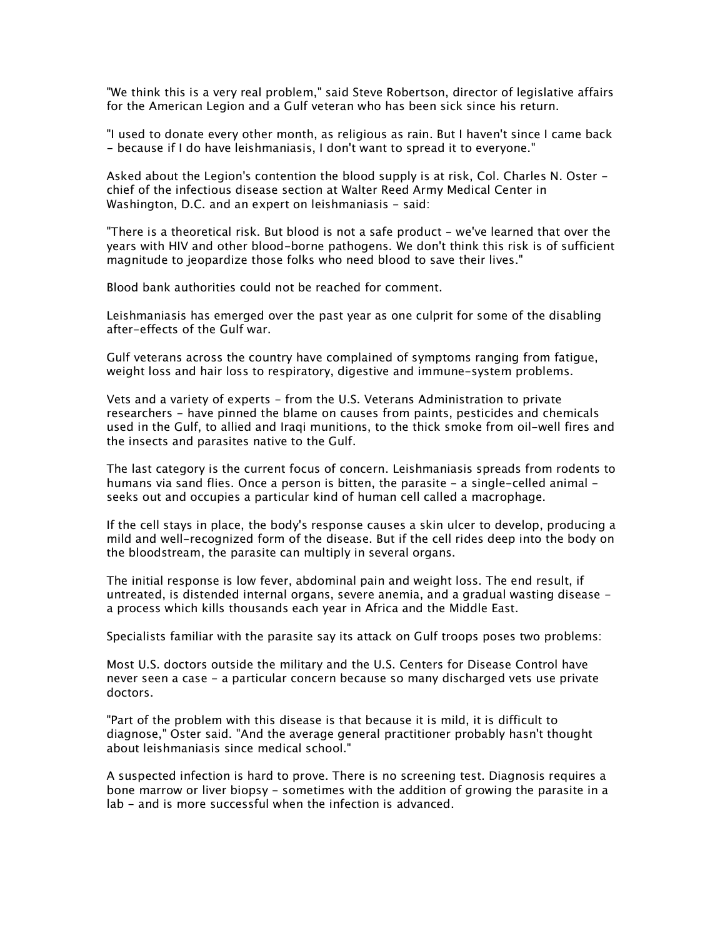"We think this is a very real problem," said Steve Robertson, director of legislative affairs for the American Legion and a Gulf veteran who has been sick since his return.

"I used to donate every other month, as religious as rain. But I haven't since I came back - because if I do have leishmaniasis, I don't want to spread it to everyone."

Asked about the Legion's contention the blood supply is at risk, Col. Charles N. Oster chief of the infectious disease section at Walter Reed Army Medical Center in Washington, D.C. and an expert on leishmaniasis - said:

"There is a theoretical risk. But blood is not a safe product - we've learned that over the years with HIV and other blood-borne pathogens. We don't think this risk is of sufficient magnitude to jeopardize those folks who need blood to save their lives."

Blood bank authorities could not be reached for comment.

Leishmaniasis has emerged over the past year as one culprit for some of the disabling after-effects of the Gulf war.

Gulf veterans across the country have complained of symptoms ranging from fatigue, weight loss and hair loss to respiratory, digestive and immune-system problems.

Vets and a variety of experts - from the U.S. Veterans Administration to private researchers - have pinned the blame on causes from paints, pesticides and chemicals used in the Gulf, to allied and Iraqi munitions, to the thick smoke from oil-well fires and the insects and parasites native to the Gulf.

The last category is the current focus of concern. Leishmaniasis spreads from rodents to humans via sand flies. Once a person is bitten, the parasite - a single-celled animal seeks out and occupies a particular kind of human cell called a macrophage.

If the cell stays in place, the body's response causes a skin ulcer to develop, producing a mild and well-recognized form of the disease. But if the cell rides deep into the body on the bloodstream, the parasite can multiply in several organs.

The initial response is low fever, abdominal pain and weight loss. The end result, if untreated, is distended internal organs, severe anemia, and a gradual wasting disease a process which kills thousands each year in Africa and the Middle East.

Specialists familiar with the parasite say its attack on Gulf troops poses two problems:

Most U.S. doctors outside the military and the U.S. Centers for Disease Control have never seen a case - a particular concern because so many discharged vets use private doctors.

"Part of the problem with this disease is that because it is mild, it is difficult to diagnose," Oster said. "And the average general practitioner probably hasn't thought about leishmaniasis since medical school."

A suspected infection is hard to prove. There is no screening test. Diagnosis requires a bone marrow or liver biopsy - sometimes with the addition of growing the parasite in a lab - and is more successful when the infection is advanced.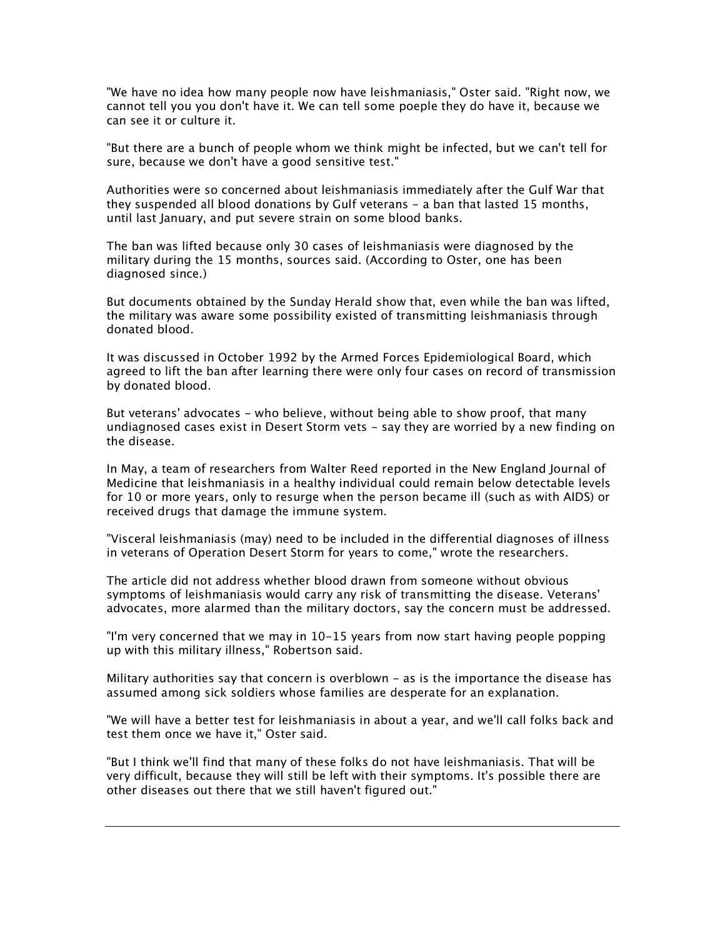"We have no idea how many people now have leishmaniasis," Oster said. "Right now, we cannot tell you you don't have it. We can tell some poeple they do have it, because we can see it or culture it.

"But there are a bunch of people whom we think might be infected, but we can't tell for sure, because we don't have a good sensitive test."

Authorities were so concerned about leishmaniasis immediately after the Gulf War that they suspended all blood donations by Gulf veterans - a ban that lasted 15 months, until last January, and put severe strain on some blood banks.

The ban was lifted because only 30 cases of leishmaniasis were diagnosed by the military during the 15 months, sources said. (According to Oster, one has been diagnosed since.)

But documents obtained by the Sunday Herald show that, even while the ban was lifted, the military was aware some possibility existed of transmitting leishmaniasis through donated blood.

It was discussed in October 1992 by the Armed Forces Epidemiological Board, which agreed to lift the ban after learning there were only four cases on record of transmission by donated blood.

But veterans' advocates - who believe, without being able to show proof, that many undiagnosed cases exist in Desert Storm vets - say they are worried by a new finding on the disease.

In May, a team of researchers from Walter Reed reported in the New England Journal of Medicine that leishmaniasis in a healthy individual could remain below detectable levels for 10 or more years, only to resurge when the person became ill (such as with AIDS) or received drugs that damage the immune system.

"Visceral leishmaniasis (may) need to be included in the differential diagnoses of illness in veterans of Operation Desert Storm for years to come," wrote the researchers.

The article did not address whether blood drawn from someone without obvious symptoms of leishmaniasis would carry any risk of transmitting the disease. Veterans' advocates, more alarmed than the military doctors, say the concern must be addressed.

"I'm very concerned that we may in 10-15 years from now start having people popping up with this military illness," Robertson said.

Military authorities say that concern is overblown - as is the importance the disease has assumed among sick soldiers whose families are desperate for an explanation.

"We will have a better test for leishmaniasis in about a year, and we'll call folks back and test them once we have it," Oster said.

"But I think we'll find that many of these folks do not have leishmaniasis. That will be very difficult, because they will still be left with their symptoms. It's possible there are other diseases out there that we still haven't figured out."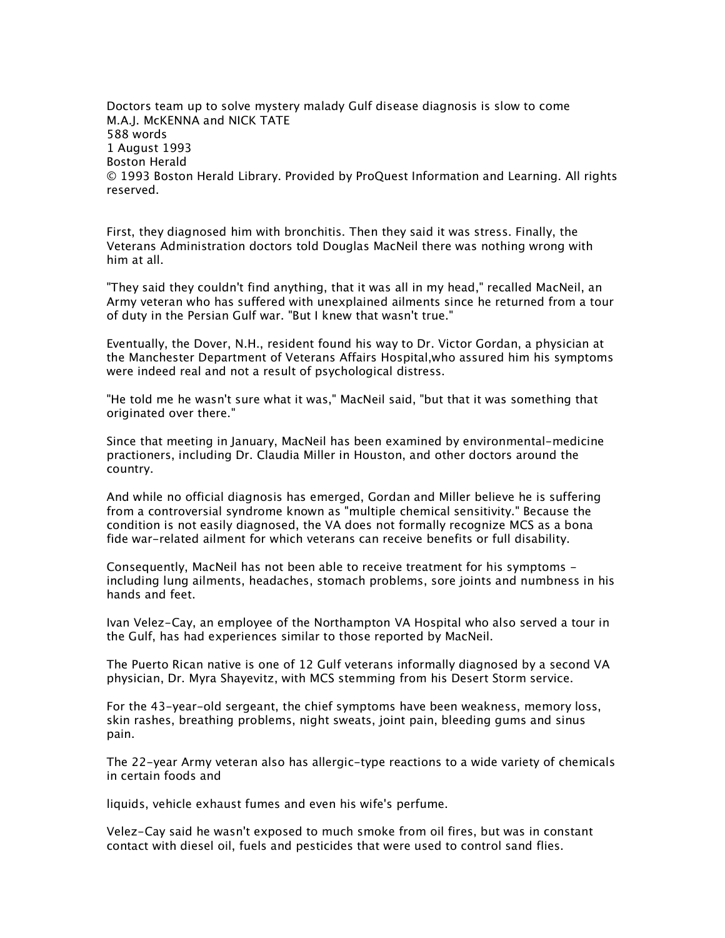Doctors team up to solve mystery malady Gulf disease diagnosis is slow to come M.A.J. McKENNA and NICK TATE 588 words 1 August 1993 Boston Herald © 1993 Boston Herald Library. Provided by ProQuest Information and Learning. All rights reserved.

First, they diagnosed him with bronchitis. Then they said it was stress. Finally, the Veterans Administration doctors told Douglas MacNeil there was nothing wrong with him at all.

"They said they couldn't find anything, that it was all in my head," recalled MacNeil, an Army veteran who has suffered with unexplained ailments since he returned from a tour of duty in the Persian Gulf war. "But I knew that wasn't true."

Eventually, the Dover, N.H., resident found his way to Dr. Victor Gordan, a physician at the Manchester Department of Veterans Affairs Hospital,who assured him his symptoms were indeed real and not a result of psychological distress.

"He told me he wasn't sure what it was," MacNeil said, "but that it was something that originated over there."

Since that meeting in January, MacNeil has been examined by environmental-medicine practioners, including Dr. Claudia Miller in Houston, and other doctors around the country.

And while no official diagnosis has emerged, Gordan and Miller believe he is suffering from a controversial syndrome known as "multiple chemical sensitivity." Because the condition is not easily diagnosed, the VA does not formally recognize MCS as a bona fide war-related ailment for which veterans can receive benefits or full disability.

Consequently, MacNeil has not been able to receive treatment for his symptoms including lung ailments, headaches, stomach problems, sore joints and numbness in his hands and feet.

Ivan Velez-Cay, an employee of the Northampton VA Hospital who also served a tour in the Gulf, has had experiences similar to those reported by MacNeil.

The Puerto Rican native is one of 12 Gulf veterans informally diagnosed by a second VA physician, Dr. Myra Shayevitz, with MCS stemming from his Desert Storm service.

For the 43-year-old sergeant, the chief symptoms have been weakness, memory loss, skin rashes, breathing problems, night sweats, joint pain, bleeding gums and sinus pain.

The 22-year Army veteran also has allergic-type reactions to a wide variety of chemicals in certain foods and

liquids, vehicle exhaust fumes and even his wife's perfume.

Velez-Cay said he wasn't exposed to much smoke from oil fires, but was in constant contact with diesel oil, fuels and pesticides that were used to control sand flies.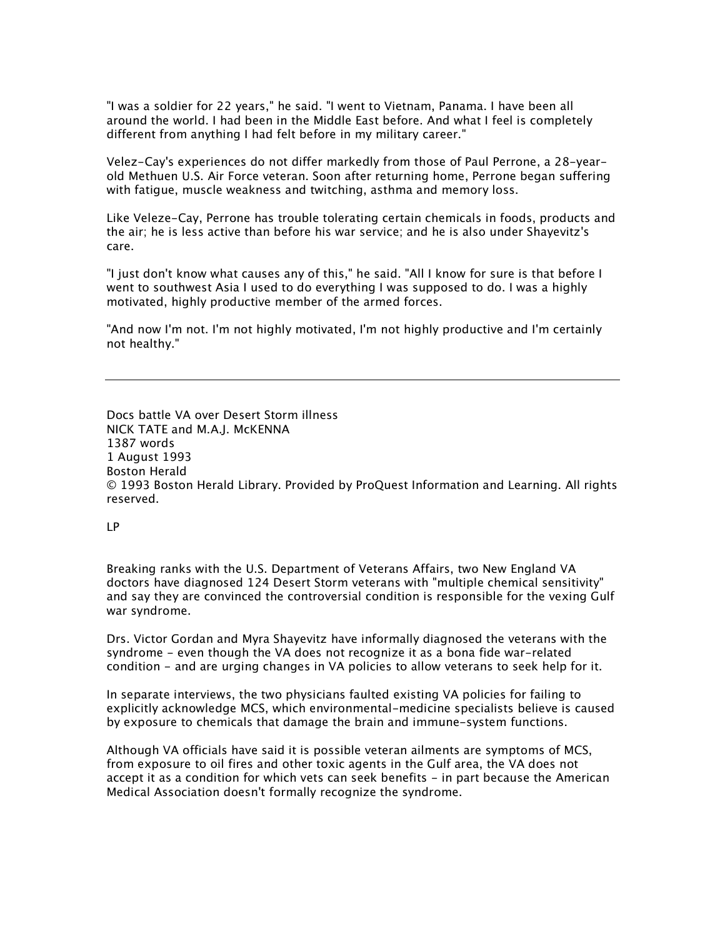"I was a soldier for 22 years," he said. "I went to Vietnam, Panama. I have been all around the world. I had been in the Middle East before. And what I feel is completely different from anything I had felt before in my military career."

Velez-Cay's experiences do not differ markedly from those of Paul Perrone, a 28-yearold Methuen U.S. Air Force veteran. Soon after returning home, Perrone began suffering with fatigue, muscle weakness and twitching, asthma and memory loss.

Like Veleze-Cay, Perrone has trouble tolerating certain chemicals in foods, products and the air; he is less active than before his war service; and he is also under Shayevitz's care.

"I just don't know what causes any of this," he said. "All I know for sure is that before I went to southwest Asia I used to do everything I was supposed to do. I was a highly motivated, highly productive member of the armed forces.

"And now I'm not. I'm not highly motivated, I'm not highly productive and I'm certainly not healthy."

Docs battle VA over Desert Storm illness NICK TATE and M.A.J. McKENNA 1387 words 1 August 1993 Boston Herald © 1993 Boston Herald Library. Provided by ProQuest Information and Learning. All rights reserved.

LP

Breaking ranks with the U.S. Department of Veterans Affairs, two New England VA doctors have diagnosed 124 Desert Storm veterans with "multiple chemical sensitivity" and say they are convinced the controversial condition is responsible for the vexing Gulf war syndrome.

Drs. Victor Gordan and Myra Shayevitz have informally diagnosed the veterans with the syndrome - even though the VA does not recognize it as a bona fide war-related condition - and are urging changes in VA policies to allow veterans to seek help for it.

In separate interviews, the two physicians faulted existing VA policies for failing to explicitly acknowledge MCS, which environmental-medicine specialists believe is caused by exposure to chemicals that damage the brain and immune-system functions.

Although VA officials have said it is possible veteran ailments are symptoms of MCS, from exposure to oil fires and other toxic agents in the Gulf area, the VA does not accept it as a condition for which vets can seek benefits - in part because the American Medical Association doesn't formally recognize the syndrome.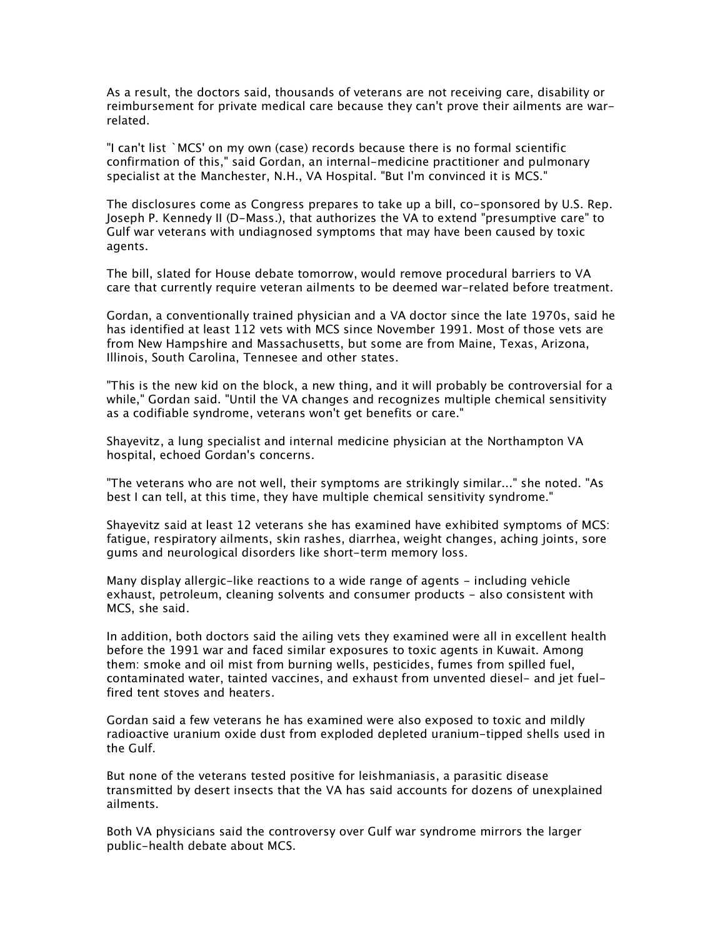As a result, the doctors said, thousands of veterans are not receiving care, disability or reimbursement for private medical care because they can't prove their ailments are warrelated.

"I can't list `MCS' on my own (case) records because there is no formal scientific confirmation of this," said Gordan, an internal-medicine practitioner and pulmonary specialist at the Manchester, N.H., VA Hospital. "But I'm convinced it is MCS."

The disclosures come as Congress prepares to take up a bill, co-sponsored by U.S. Rep. Joseph P. Kennedy II (D-Mass.), that authorizes the VA to extend "presumptive care" to Gulf war veterans with undiagnosed symptoms that may have been caused by toxic agents.

The bill, slated for House debate tomorrow, would remove procedural barriers to VA care that currently require veteran ailments to be deemed war-related before treatment.

Gordan, a conventionally trained physician and a VA doctor since the late 1970s, said he has identified at least 112 vets with MCS since November 1991. Most of those vets are from New Hampshire and Massachusetts, but some are from Maine, Texas, Arizona, Illinois, South Carolina, Tennesee and other states.

"This is the new kid on the block, a new thing, and it will probably be controversial for a while," Gordan said. "Until the VA changes and recognizes multiple chemical sensitivity as a codifiable syndrome, veterans won't get benefits or care."

Shayevitz, a lung specialist and internal medicine physician at the Northampton VA hospital, echoed Gordan's concerns.

"The veterans who are not well, their symptoms are strikingly similar..." she noted. "As best I can tell, at this time, they have multiple chemical sensitivity syndrome."

Shayevitz said at least 12 veterans she has examined have exhibited symptoms of MCS: fatigue, respiratory ailments, skin rashes, diarrhea, weight changes, aching joints, sore gums and neurological disorders like short-term memory loss.

Many display allergic-like reactions to a wide range of agents - including vehicle exhaust, petroleum, cleaning solvents and consumer products - also consistent with MCS, she said.

In addition, both doctors said the ailing vets they examined were all in excellent health before the 1991 war and faced similar exposures to toxic agents in Kuwait. Among them: smoke and oil mist from burning wells, pesticides, fumes from spilled fuel, contaminated water, tainted vaccines, and exhaust from unvented diesel- and jet fuelfired tent stoves and heaters.

Gordan said a few veterans he has examined were also exposed to toxic and mildly radioactive uranium oxide dust from exploded depleted uranium-tipped shells used in the Gulf.

But none of the veterans tested positive for leishmaniasis, a parasitic disease transmitted by desert insects that the VA has said accounts for dozens of unexplained ailments.

Both VA physicians said the controversy over Gulf war syndrome mirrors the larger public-health debate about MCS.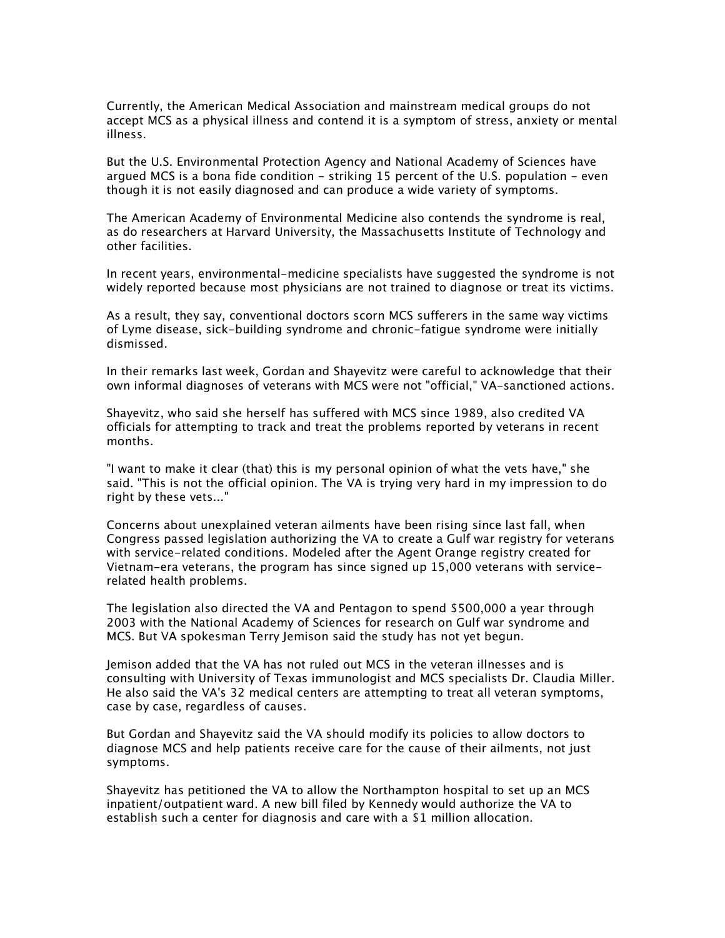Currently, the American Medical Association and mainstream medical groups do not accept MCS as a physical illness and contend it is a symptom of stress, anxiety or mental illness.

But the U.S. Environmental Protection Agency and National Academy of Sciences have argued MCS is a bona fide condition - striking 15 percent of the U.S. population - even though it is not easily diagnosed and can produce a wide variety of symptoms.

The American Academy of Environmental Medicine also contends the syndrome is real, as do researchers at Harvard University, the Massachusetts Institute of Technology and other facilities.

In recent years, environmental-medicine specialists have suggested the syndrome is not widely reported because most physicians are not trained to diagnose or treat its victims.

As a result, they say, conventional doctors scorn MCS sufferers in the same way victims of Lyme disease, sick-building syndrome and chronic-fatigue syndrome were initially dismissed.

In their remarks last week, Gordan and Shayevitz were careful to acknowledge that their own informal diagnoses of veterans with MCS were not "official," VA-sanctioned actions.

Shayevitz, who said she herself has suffered with MCS since 1989, also credited VA officials for attempting to track and treat the problems reported by veterans in recent months.

"I want to make it clear (that) this is my personal opinion of what the vets have," she said. "This is not the official opinion. The VA is trying very hard in my impression to do right by these vets..."

Concerns about unexplained veteran ailments have been rising since last fall, when Congress passed legislation authorizing the VA to create a Gulf war registry for veterans with service-related conditions. Modeled after the Agent Orange registry created for Vietnam-era veterans, the program has since signed up 15,000 veterans with servicerelated health problems.

The legislation also directed the VA and Pentagon to spend \$500,000 a year through 2003 with the National Academy of Sciences for research on Gulf war syndrome and MCS. But VA spokesman Terry Jemison said the study has not yet begun.

Jemison added that the VA has not ruled out MCS in the veteran illnesses and is consulting with University of Texas immunologist and MCS specialists Dr. Claudia Miller. He also said the VA's 32 medical centers are attempting to treat all veteran symptoms, case by case, regardless of causes.

But Gordan and Shayevitz said the VA should modify its policies to allow doctors to diagnose MCS and help patients receive care for the cause of their ailments, not just symptoms.

Shayevitz has petitioned the VA to allow the Northampton hospital to set up an MCS inpatient/outpatient ward. A new bill filed by Kennedy would authorize the VA to establish such a center for diagnosis and care with a \$1 million allocation.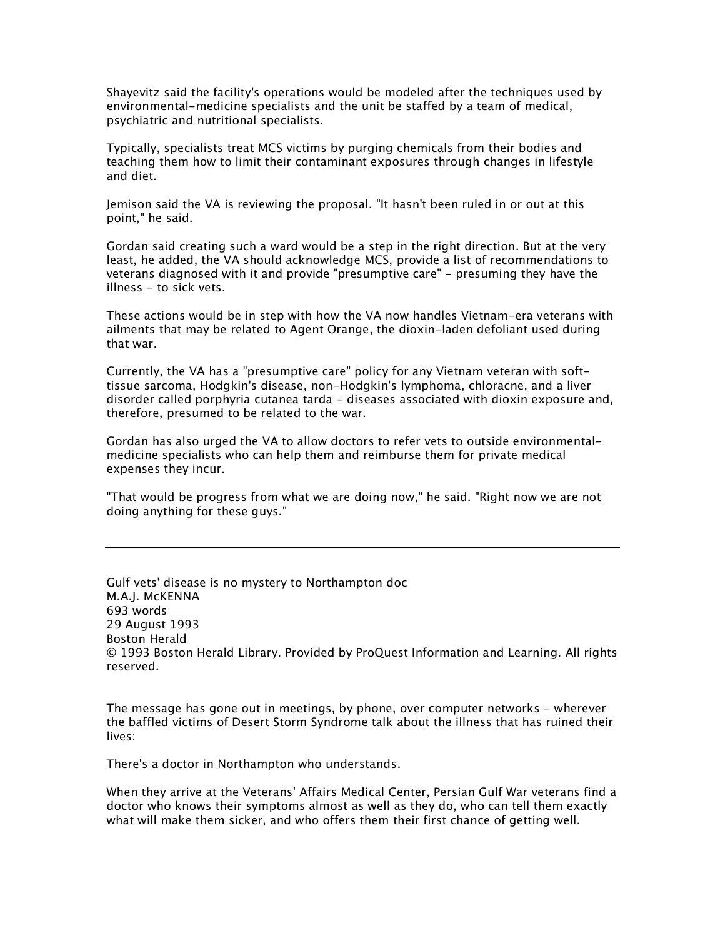Shayevitz said the facility's operations would be modeled after the techniques used by environmental-medicine specialists and the unit be staffed by a team of medical, psychiatric and nutritional specialists.

Typically, specialists treat MCS victims by purging chemicals from their bodies and teaching them how to limit their contaminant exposures through changes in lifestyle and diet.

Jemison said the VA is reviewing the proposal. "It hasn't been ruled in or out at this point," he said.

Gordan said creating such a ward would be a step in the right direction. But at the very least, he added, the VA should acknowledge MCS, provide a list of recommendations to veterans diagnosed with it and provide "presumptive care" - presuming they have the illness - to sick vets.

These actions would be in step with how the VA now handles Vietnam-era veterans with ailments that may be related to Agent Orange, the dioxin-laden defoliant used during that war.

Currently, the VA has a "presumptive care" policy for any Vietnam veteran with softtissue sarcoma, Hodgkin's disease, non-Hodgkin's lymphoma, chloracne, and a liver disorder called porphyria cutanea tarda - diseases associated with dioxin exposure and, therefore, presumed to be related to the war.

Gordan has also urged the VA to allow doctors to refer vets to outside environmentalmedicine specialists who can help them and reimburse them for private medical expenses they incur.

"That would be progress from what we are doing now," he said. "Right now we are not doing anything for these guys."

Gulf vets' disease is no mystery to Northampton doc M.A.J. McKENNA 693 words 29 August 1993 Boston Herald © 1993 Boston Herald Library. Provided by ProQuest Information and Learning. All rights reserved.

The message has gone out in meetings, by phone, over computer networks - wherever the baffled victims of Desert Storm Syndrome talk about the illness that has ruined their lives:

There's a doctor in Northampton who understands.

When they arrive at the Veterans' Affairs Medical Center, Persian Gulf War veterans find a doctor who knows their symptoms almost as well as they do, who can tell them exactly what will make them sicker, and who offers them their first chance of getting well.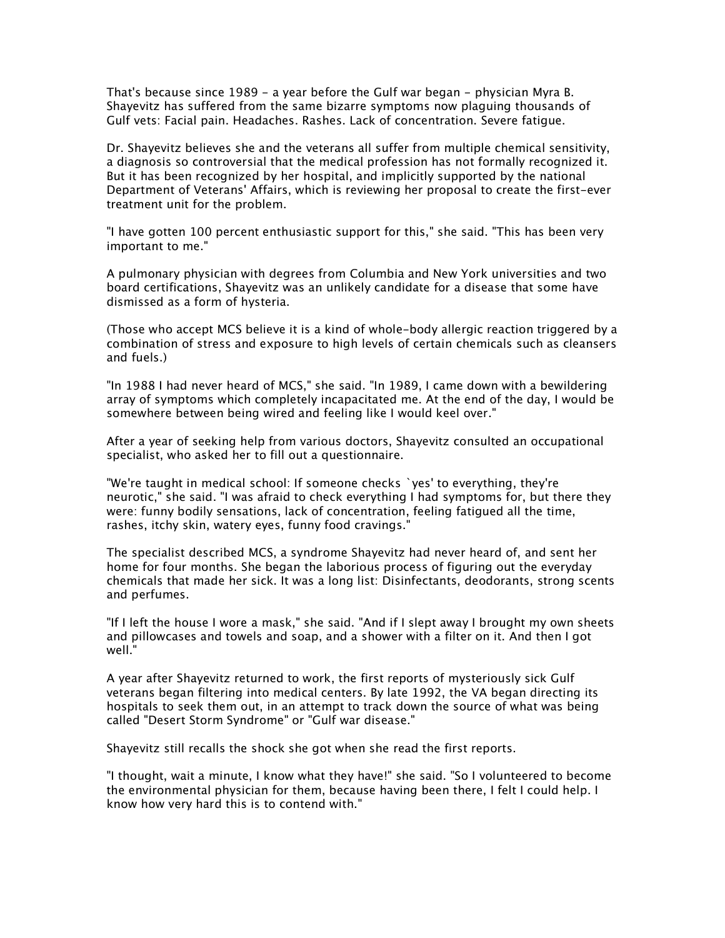That's because since 1989 - a year before the Gulf war began - physician Myra B. Shayevitz has suffered from the same bizarre symptoms now plaguing thousands of Gulf vets: Facial pain. Headaches. Rashes. Lack of concentration. Severe fatigue.

Dr. Shayevitz believes she and the veterans all suffer from multiple chemical sensitivity, a diagnosis so controversial that the medical profession has not formally recognized it. But it has been recognized by her hospital, and implicitly supported by the national Department of Veterans' Affairs, which is reviewing her proposal to create the first-ever treatment unit for the problem.

"I have gotten 100 percent enthusiastic support for this," she said. "This has been very important to me."

A pulmonary physician with degrees from Columbia and New York universities and two board certifications, Shayevitz was an unlikely candidate for a disease that some have dismissed as a form of hysteria.

(Those who accept MCS believe it is a kind of whole-body allergic reaction triggered by a combination of stress and exposure to high levels of certain chemicals such as cleansers and fuels.)

"In 1988 I had never heard of MCS," she said. "In 1989, I came down with a bewildering array of symptoms which completely incapacitated me. At the end of the day, I would be somewhere between being wired and feeling like I would keel over."

After a year of seeking help from various doctors, Shayevitz consulted an occupational specialist, who asked her to fill out a questionnaire.

"We're taught in medical school: If someone checks `yes' to everything, they're neurotic," she said. "I was afraid to check everything I had symptoms for, but there they were: funny bodily sensations, lack of concentration, feeling fatigued all the time, rashes, itchy skin, watery eyes, funny food cravings."

The specialist described MCS, a syndrome Shayevitz had never heard of, and sent her home for four months. She began the laborious process of figuring out the everyday chemicals that made her sick. It was a long list: Disinfectants, deodorants, strong scents and perfumes.

"If I left the house I wore a mask," she said. "And if I slept away I brought my own sheets and pillowcases and towels and soap, and a shower with a filter on it. And then I got well."

A year after Shayevitz returned to work, the first reports of mysteriously sick Gulf veterans began filtering into medical centers. By late 1992, the VA began directing its hospitals to seek them out, in an attempt to track down the source of what was being called "Desert Storm Syndrome" or "Gulf war disease."

Shayevitz still recalls the shock she got when she read the first reports.

"I thought, wait a minute, I know what they have!" she said. "So I volunteered to become the environmental physician for them, because having been there, I felt I could help. I know how very hard this is to contend with."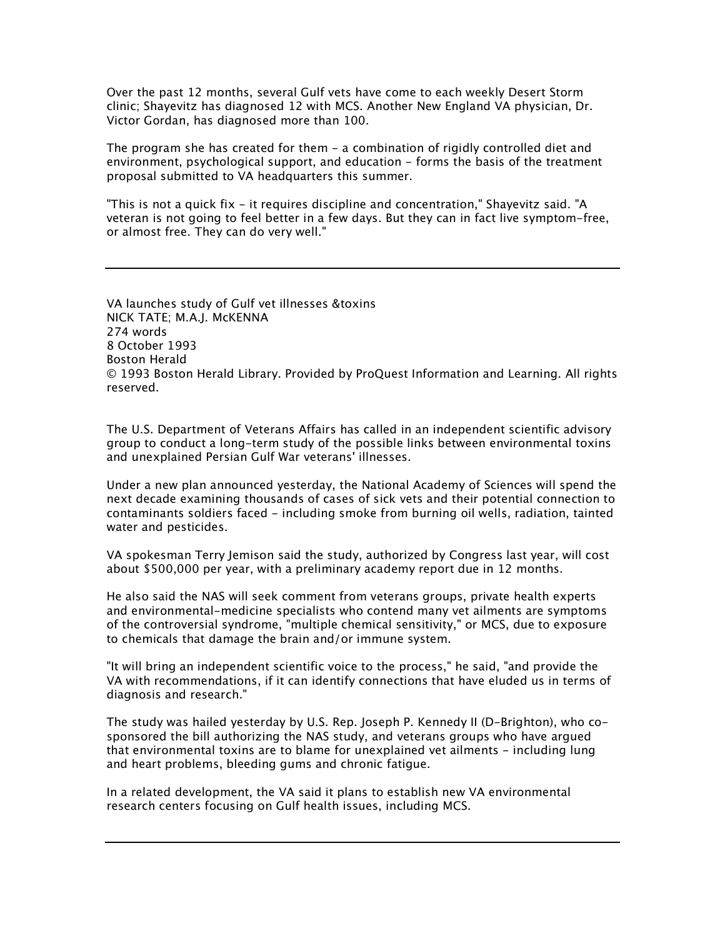Over the past 12 months, several Gulf vets have come to each weekly Desert Storm clinic; Shayevitz has diagnosed 12 with MCS. Another New England VA physician, Dr. Victor Gordan, has diagnosed more than 100.

The program she has created for them - a combination of rigidly controlled diet and environment, psychological support, and education - forms the basis of the treatment proposal submitted to VA headquarters this summer.

"This is not a quick fix - it requires discipline and concentration," Shayevitz said. "A veteran is not going to feel better in a few days. But they can in fact live symptom-free, or almost free. They can do very well."

VA launches study of Gulf vet illnesses &toxins NICK TATE; M.A.J. McKENNA 274 words 8 October 1993 Boston Herald © 1993 Boston Herald Library. Provided by ProQuest Information and Learning. All rights reserved.

The U.S. Department of Veterans Affairs has called in an independent scientific advisory group to conduct a long-term study of the possible links between environmental toxins and unexplained Persian Gulf War veterans' illnesses.

Under a new plan announced yesterday, the National Academy of Sciences will spend the next decade examining thousands of cases of sick vets and their potential connection to contaminants soldiers faced - including smoke from burning oil wells, radiation, tainted water and pesticides.

VA spokesman Terry Jemison said the study, authorized by Congress last year, will cost about \$500,000 per year, with a preliminary academy report due in 12 months.

He also said the NAS will seek comment from veterans groups, private health experts and environmental-medicine specialists who contend many vet ailments are symptoms of the controversial syndrome, "multiple chemical sensitivity," or MCS, due to exposure to chemicals that damage the brain and/or immune system.

"It will bring an independent scientific voice to the process," he said, "and provide the VA with recommendations, if it can identify connections that have eluded us in terms of diagnosis and research."

The study was hailed yesterday by U.S. Rep. Joseph P. Kennedy II (D-Brighton), who cosponsored the bill authorizing the NAS study, and veterans groups who have argued that environmental toxins are to blame for unexplained vet ailments - including lung and heart problems, bleeding gums and chronic fatigue.

In a related development, the VA said it plans to establish new VA environmental research centers focusing on Gulf health issues, including MCS.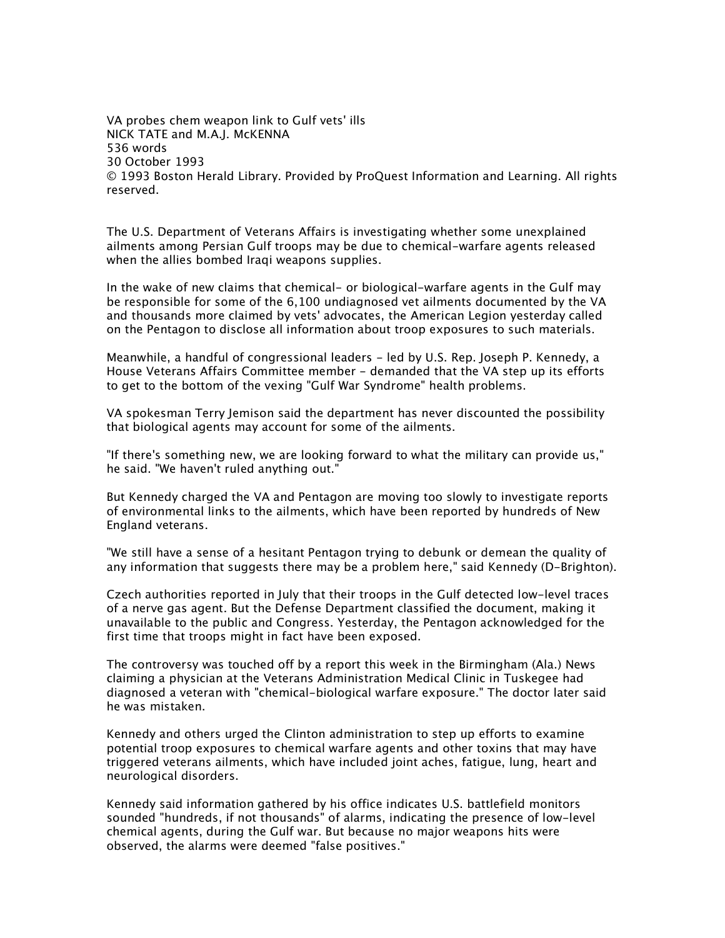VA probes chem weapon link to Gulf vets' ills NICK TATE and M.A.J. McKENNA 536 words 30 October 1993 © 1993 Boston Herald Library. Provided by ProQuest Information and Learning. All rights reserved.

The U.S. Department of Veterans Affairs is investigating whether some unexplained ailments among Persian Gulf troops may be due to chemical-warfare agents released when the allies bombed Iraqi weapons supplies.

In the wake of new claims that chemical- or biological-warfare agents in the Gulf may be responsible for some of the 6,100 undiagnosed vet ailments documented by the VA and thousands more claimed by vets' advocates, the American Legion yesterday called on the Pentagon to disclose all information about troop exposures to such materials.

Meanwhile, a handful of congressional leaders - led by U.S. Rep. Joseph P. Kennedy, a House Veterans Affairs Committee member - demanded that the VA step up its efforts to get to the bottom of the vexing "Gulf War Syndrome" health problems.

VA spokesman Terry Jemison said the department has never discounted the possibility that biological agents may account for some of the ailments.

"If there's something new, we are looking forward to what the military can provide us," he said. "We haven't ruled anything out."

But Kennedy charged the VA and Pentagon are moving too slowly to investigate reports of environmental links to the ailments, which have been reported by hundreds of New England veterans.

"We still have a sense of a hesitant Pentagon trying to debunk or demean the quality of any information that suggests there may be a problem here," said Kennedy (D-Brighton).

Czech authorities reported in July that their troops in the Gulf detected low-level traces of a nerve gas agent. But the Defense Department classified the document, making it unavailable to the public and Congress. Yesterday, the Pentagon acknowledged for the first time that troops might in fact have been exposed.

The controversy was touched off by a report this week in the Birmingham (Ala.) News claiming a physician at the Veterans Administration Medical Clinic in Tuskegee had diagnosed a veteran with "chemical-biological warfare exposure." The doctor later said he was mistaken.

Kennedy and others urged the Clinton administration to step up efforts to examine potential troop exposures to chemical warfare agents and other toxins that may have triggered veterans ailments, which have included joint aches, fatigue, lung, heart and neurological disorders.

Kennedy said information gathered by his office indicates U.S. battlefield monitors sounded "hundreds, if not thousands" of alarms, indicating the presence of low-level chemical agents, during the Gulf war. But because no major weapons hits were observed, the alarms were deemed "false positives."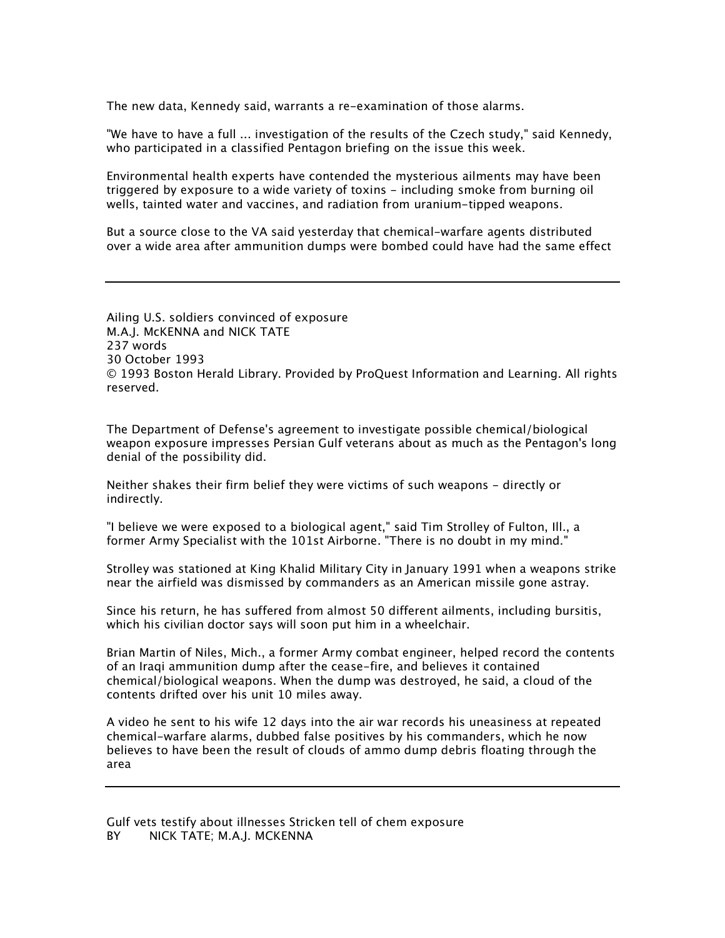The new data, Kennedy said, warrants a re-examination of those alarms.

"We have to have a full ... investigation of the results of the Czech study," said Kennedy, who participated in a classified Pentagon briefing on the issue this week.

Environmental health experts have contended the mysterious ailments may have been triggered by exposure to a wide variety of toxins - including smoke from burning oil wells, tainted water and vaccines, and radiation from uranium-tipped weapons.

But a source close to the VA said yesterday that chemical-warfare agents distributed over a wide area after ammunition dumps were bombed could have had the same effect

Ailing U.S. soldiers convinced of exposure M.A.J. McKENNA and NICK TATE 237 words 30 October 1993 © 1993 Boston Herald Library. Provided by ProQuest Information and Learning. All rights reserved.

The Department of Defense's agreement to investigate possible chemical/biological weapon exposure impresses Persian Gulf veterans about as much as the Pentagon's long denial of the possibility did.

Neither shakes their firm belief they were victims of such weapons - directly or indirectly.

"I believe we were exposed to a biological agent," said Tim Strolley of Fulton, Ill., a former Army Specialist with the 101st Airborne. "There is no doubt in my mind."

Strolley was stationed at King Khalid Military City in January 1991 when a weapons strike near the airfield was dismissed by commanders as an American missile gone astray.

Since his return, he has suffered from almost 50 different ailments, including bursitis, which his civilian doctor says will soon put him in a wheelchair.

Brian Martin of Niles, Mich., a former Army combat engineer, helped record the contents of an Iraqi ammunition dump after the cease-fire, and believes it contained chemical/biological weapons. When the dump was destroyed, he said, a cloud of the contents drifted over his unit 10 miles away.

A video he sent to his wife 12 days into the air war records his uneasiness at repeated chemical-warfare alarms, dubbed false positives by his commanders, which he now believes to have been the result of clouds of ammo dump debris floating through the area

Gulf vets testify about illnesses Stricken tell of chem exposure BY NICK TATE; M.A.J. MCKENNA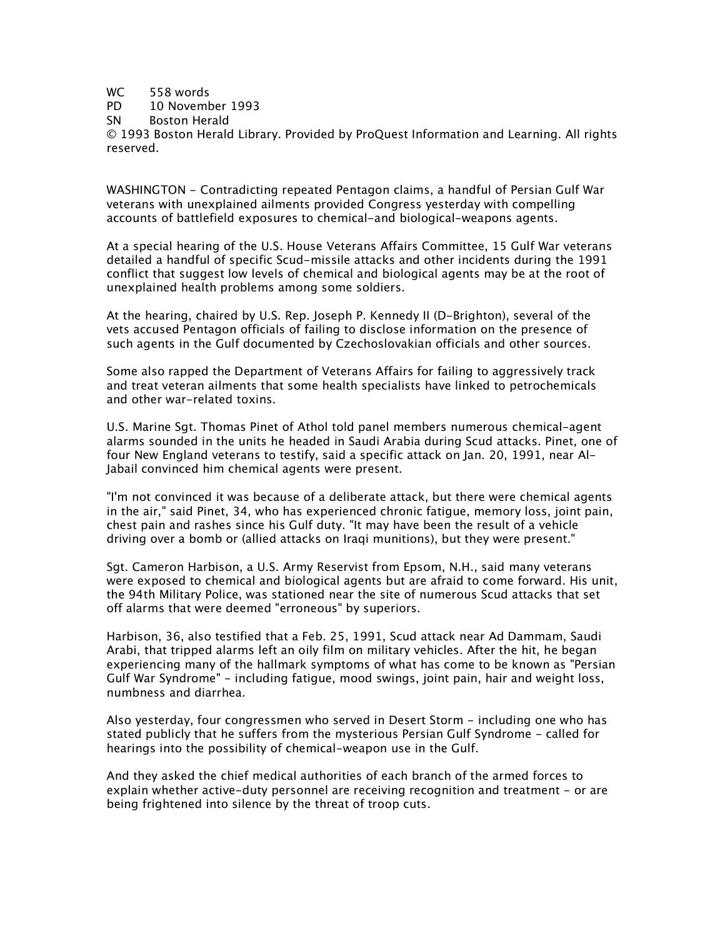## WC 558 words

PD 10 November 1993

SN Boston Herald

© 1993 Boston Herald Library. Provided by ProQuest Information and Learning. All rights reserved.

WASHINGTON - Contradicting repeated Pentagon claims, a handful of Persian Gulf War veterans with unexplained ailments provided Congress yesterday with compelling accounts of battlefield exposures to chemical-and biological-weapons agents.

At a special hearing of the U.S. House Veterans Affairs Committee, 15 Gulf War veterans detailed a handful of specific Scud-missile attacks and other incidents during the 1991 conflict that suggest low levels of chemical and biological agents may be at the root of unexplained health problems among some soldiers.

At the hearing, chaired by U.S. Rep. Joseph P. Kennedy II (D-Brighton), several of the vets accused Pentagon officials of failing to disclose information on the presence of such agents in the Gulf documented by Czechoslovakian officials and other sources.

Some also rapped the Department of Veterans Affairs for failing to aggressively track and treat veteran ailments that some health specialists have linked to petrochemicals and other war-related toxins.

U.S. Marine Sgt. Thomas Pinet of Athol told panel members numerous chemical-agent alarms sounded in the units he headed in Saudi Arabia during Scud attacks. Pinet, one of four New England veterans to testify, said a specific attack on Jan. 20, 1991, near Al-Jabail convinced him chemical agents were present.

"I'm not convinced it was because of a deliberate attack, but there were chemical agents in the air," said Pinet, 34, who has experienced chronic fatigue, memory loss, joint pain, chest pain and rashes since his Gulf duty. "It may have been the result of a vehicle driving over a bomb or (allied attacks on Iraqi munitions), but they were present."

Sgt. Cameron Harbison, a U.S. Army Reservist from Epsom, N.H., said many veterans were exposed to chemical and biological agents but are afraid to come forward. His unit, the 94th Military Police, was stationed near the site of numerous Scud attacks that set off alarms that were deemed "erroneous" by superiors.

Harbison, 36, also testified that a Feb. 25, 1991, Scud attack near Ad Dammam, Saudi Arabi, that tripped alarms left an oily film on military vehicles. After the hit, he began experiencing many of the hallmark symptoms of what has come to be known as "Persian Gulf War Syndrome" - including fatigue, mood swings, joint pain, hair and weight loss, numbness and diarrhea.

Also yesterday, four congressmen who served in Desert Storm - including one who has stated publicly that he suffers from the mysterious Persian Gulf Syndrome - called for hearings into the possibility of chemical-weapon use in the Gulf.

And they asked the chief medical authorities of each branch of the armed forces to explain whether active-duty personnel are receiving recognition and treatment - or are being frightened into silence by the threat of troop cuts.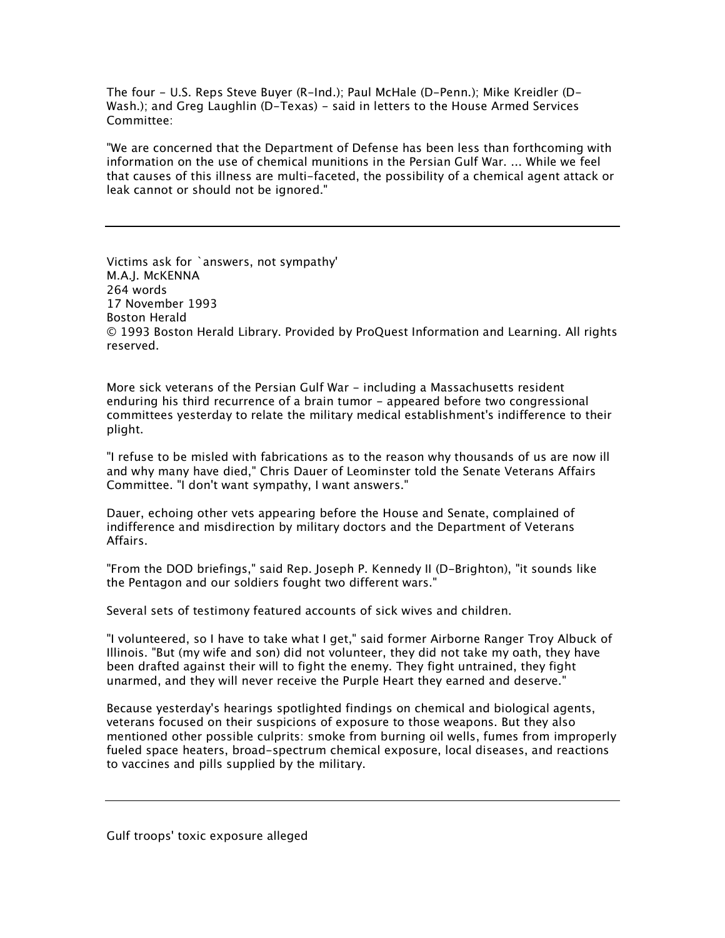The four - U.S. Reps Steve Buyer (R-Ind.); Paul McHale (D-Penn.); Mike Kreidler (D-Wash.); and Greg Laughlin (D-Texas) - said in letters to the House Armed Services Committee:

"We are concerned that the Department of Defense has been less than forthcoming with information on the use of chemical munitions in the Persian Gulf War. ... While we feel that causes of this illness are multi-faceted, the possibility of a chemical agent attack or leak cannot or should not be ignored."

Victims ask for `answers, not sympathy' M.A.J. McKENNA 264 words 17 November 1993 Boston Herald © 1993 Boston Herald Library. Provided by ProQuest Information and Learning. All rights reserved.

More sick veterans of the Persian Gulf War - including a Massachusetts resident enduring his third recurrence of a brain tumor - appeared before two congressional committees yesterday to relate the military medical establishment's indifference to their plight.

"I refuse to be misled with fabrications as to the reason why thousands of us are now ill and why many have died," Chris Dauer of Leominster told the Senate Veterans Affairs Committee. "I don't want sympathy, I want answers."

Dauer, echoing other vets appearing before the House and Senate, complained of indifference and misdirection by military doctors and the Department of Veterans Affairs.

"From the DOD briefings," said Rep. Joseph P. Kennedy II (D-Brighton), "it sounds like the Pentagon and our soldiers fought two different wars."

Several sets of testimony featured accounts of sick wives and children.

"I volunteered, so I have to take what I get," said former Airborne Ranger Troy Albuck of Illinois. "But (my wife and son) did not volunteer, they did not take my oath, they have been drafted against their will to fight the enemy. They fight untrained, they fight unarmed, and they will never receive the Purple Heart they earned and deserve."

Because yesterday's hearings spotlighted findings on chemical and biological agents, veterans focused on their suspicions of exposure to those weapons. But they also mentioned other possible culprits: smoke from burning oil wells, fumes from improperly fueled space heaters, broad-spectrum chemical exposure, local diseases, and reactions to vaccines and pills supplied by the military.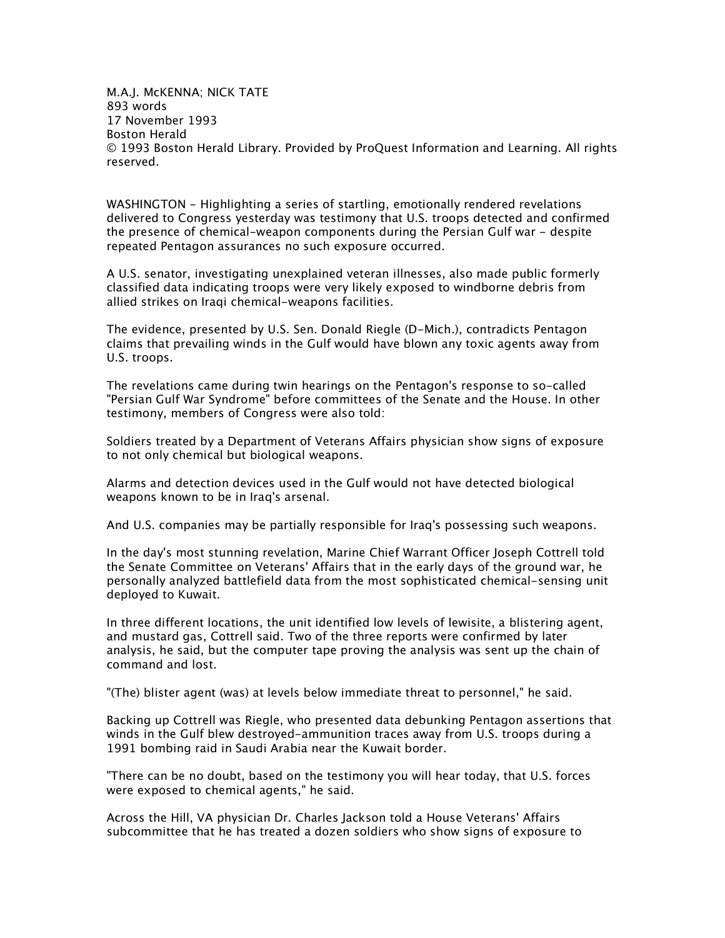M.A.J. McKENNA; NICK TATE 893 words 17 November 1993 Boston Herald © 1993 Boston Herald Library. Provided by ProQuest Information and Learning. All rights reserved.

WASHINGTON - Highlighting a series of startling, emotionally rendered revelations delivered to Congress yesterday was testimony that U.S. troops detected and confirmed the presence of chemical-weapon components during the Persian Gulf war - despite repeated Pentagon assurances no such exposure occurred.

A U.S. senator, investigating unexplained veteran illnesses, also made public formerly classified data indicating troops were very likely exposed to windborne debris from allied strikes on Iraqi chemical-weapons facilities.

The evidence, presented by U.S. Sen. Donald Riegle (D-Mich.), contradicts Pentagon claims that prevailing winds in the Gulf would have blown any toxic agents away from U.S. troops.

The revelations came during twin hearings on the Pentagon's response to so-called "Persian Gulf War Syndrome" before committees of the Senate and the House. In other testimony, members of Congress were also told:

Soldiers treated by a Department of Veterans Affairs physician show signs of exposure to not only chemical but biological weapons.

Alarms and detection devices used in the Gulf would not have detected biological weapons known to be in Iraq's arsenal.

And U.S. companies may be partially responsible for Iraq's possessing such weapons.

In the day's most stunning revelation, Marine Chief Warrant Officer Joseph Cottrell told the Senate Committee on Veterans' Affairs that in the early days of the ground war, he personally analyzed battlefield data from the most sophisticated chemical-sensing unit deployed to Kuwait.

In three different locations, the unit identified low levels of lewisite, a blistering agent, and mustard gas, Cottrell said. Two of the three reports were confirmed by later analysis, he said, but the computer tape proving the analysis was sent up the chain of command and lost.

"(The) blister agent (was) at levels below immediate threat to personnel," he said.

Backing up Cottrell was Riegle, who presented data debunking Pentagon assertions that winds in the Gulf blew destroyed-ammunition traces away from U.S. troops during a 1991 bombing raid in Saudi Arabia near the Kuwait border.

"There can be no doubt, based on the testimony you will hear today, that U.S. forces were exposed to chemical agents," he said.

Across the Hill, VA physician Dr. Charles Jackson told a House Veterans' Affairs subcommittee that he has treated a dozen soldiers who show signs of exposure to